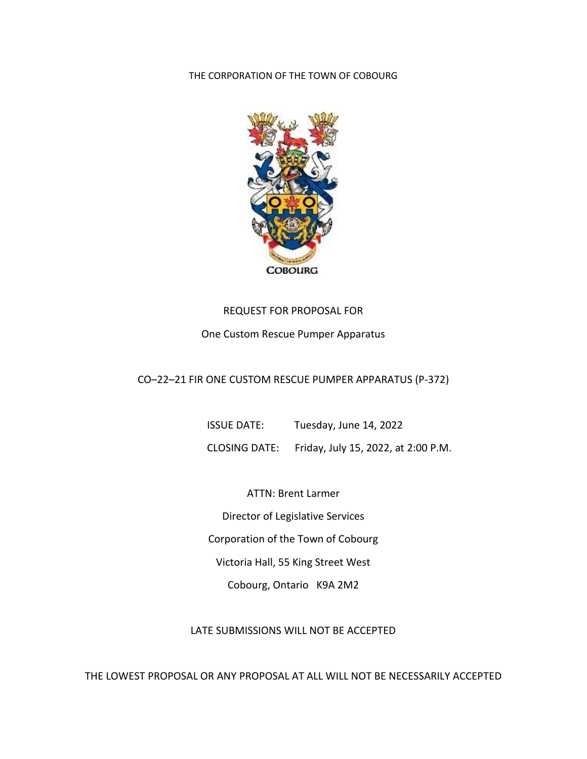THE CORPORATION OF THE TOWN OF COBOURG



#### REQUEST FOR PROPOSAL FOR

#### One Custom Rescue Pumper Apparatus

#### CO–22–21 FIR ONE CUSTOM RESCUE PUMPER APPARATUS (P-372)

ISSUE DATE: Tuesday, June 14, 2022 CLOSING DATE: Friday, July 15, 2022, at 2:00 P.M.

ATTN: Brent Larmer

Director of Legislative Services

Corporation of the Town of Cobourg

Victoria Hall, 55 King Street West

Cobourg, Ontario K9A 2M2

LATE SUBMISSIONS WILL NOT BE ACCEPTED

THE LOWEST PROPOSAL OR ANY PROPOSAL AT ALL WILL NOT BE NECESSARILY ACCEPTED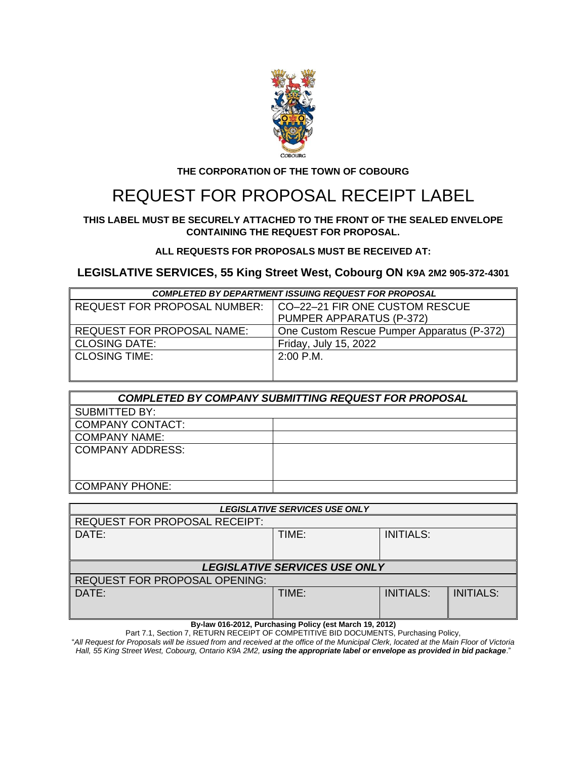

#### **THE CORPORATION OF THE TOWN OF COBOURG**

# REQUEST FOR PROPOSAL RECEIPT LABEL

#### **THIS LABEL MUST BE SECURELY ATTACHED TO THE FRONT OF THE SEALED ENVELOPE CONTAINING THE REQUEST FOR PROPOSAL.**

**ALL REQUESTS FOR PROPOSALS MUST BE RECEIVED AT:**

#### **LEGISLATIVE SERVICES, 55 King Street West, Cobourg ON K9A 2M2 905-372-4301**

| <b>COMPLETED BY DEPARTMENT ISSUING REQUEST FOR PROPOSAL</b> |                                            |  |  |
|-------------------------------------------------------------|--------------------------------------------|--|--|
| <b>REQUEST FOR PROPOSAL NUMBER:</b>                         | CO-22-21 FIR ONE CUSTOM RESCUE             |  |  |
| PUMPER APPARATUS (P-372)                                    |                                            |  |  |
| <b>REQUEST FOR PROPOSAL NAME:</b>                           | One Custom Rescue Pumper Apparatus (P-372) |  |  |
| <b>CLOSING DATE:</b>                                        | Friday, July 15, 2022                      |  |  |
| <b>CLOSING TIME:</b>                                        | $2:00$ P.M.                                |  |  |
|                                                             |                                            |  |  |

| <b>COMPLETED BY COMPANY SUBMITTING REQUEST FOR PROPOSAL</b> |  |  |
|-------------------------------------------------------------|--|--|
| <b>SUBMITTED BY:</b>                                        |  |  |
| <b>COMPANY CONTACT:</b>                                     |  |  |
| <b>COMPANY NAME:</b>                                        |  |  |
| <b>COMPANY ADDRESS:</b>                                     |  |  |
|                                                             |  |  |
|                                                             |  |  |
| <b>COMPANY PHONE:</b>                                       |  |  |

| <b>LEGISLATIVE SERVICES USE ONLY</b> |       |                  |                  |
|--------------------------------------|-------|------------------|------------------|
| <b>REQUEST FOR PROPOSAL RECEIPT:</b> |       |                  |                  |
| DATE:                                | TIME: | <b>INITIALS:</b> |                  |
|                                      |       |                  |                  |
|                                      |       |                  |                  |
| <b>LEGISLATIVE SERVICES USE ONLY</b> |       |                  |                  |
| <b>REQUEST FOR PROPOSAL OPENING:</b> |       |                  |                  |
| DATE:                                | TIME: | <b>INITIALS:</b> | <b>INITIALS:</b> |
|                                      |       |                  |                  |
|                                      |       |                  |                  |

#### **By-law 016-2012, Purchasing Policy (est March 19, 2012)**

Part 7.1, Section 7, RETURN RECEIPT OF COMPETITIVE BID DOCUMENTS, Purchasing Policy,

"*All Request for Proposals will be issued from and received at the office of the Municipal Clerk, located at the Main Floor of Victoria*  Hall, 55 King Street West, Cobourg, Ontario K9A 2M2, *using the appropriate label or envelope as provided in bid package*."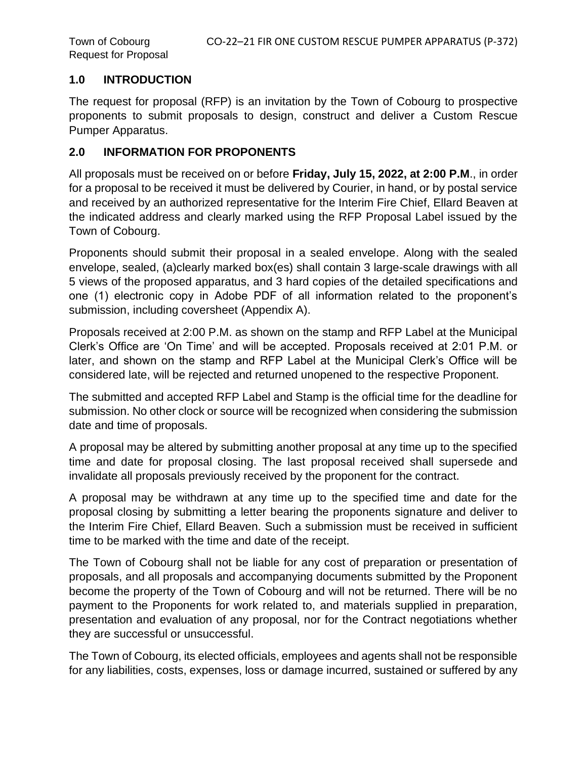## **1.0 INTRODUCTION**

The request for proposal (RFP) is an invitation by the Town of Cobourg to prospective proponents to submit proposals to design, construct and deliver a Custom Rescue Pumper Apparatus.

## **2.0 INFORMATION FOR PROPONENTS**

All proposals must be received on or before **Friday, July 15, 2022, at 2:00 P.M**., in order for a proposal to be received it must be delivered by Courier, in hand, or by postal service and received by an authorized representative for the Interim Fire Chief, Ellard Beaven at the indicated address and clearly marked using the RFP Proposal Label issued by the Town of Cobourg.

Proponents should submit their proposal in a sealed envelope. Along with the sealed envelope, sealed, (a)clearly marked box(es) shall contain 3 large-scale drawings with all 5 views of the proposed apparatus, and 3 hard copies of the detailed specifications and one (1) electronic copy in Adobe PDF of all information related to the proponent's submission, including coversheet (Appendix A).

Proposals received at 2:00 P.M. as shown on the stamp and RFP Label at the Municipal Clerk's Office are 'On Time' and will be accepted. Proposals received at 2:01 P.M. or later, and shown on the stamp and RFP Label at the Municipal Clerk's Office will be considered late, will be rejected and returned unopened to the respective Proponent.

The submitted and accepted RFP Label and Stamp is the official time for the deadline for submission. No other clock or source will be recognized when considering the submission date and time of proposals.

A proposal may be altered by submitting another proposal at any time up to the specified time and date for proposal closing. The last proposal received shall supersede and invalidate all proposals previously received by the proponent for the contract.

A proposal may be withdrawn at any time up to the specified time and date for the proposal closing by submitting a letter bearing the proponents signature and deliver to the Interim Fire Chief, Ellard Beaven. Such a submission must be received in sufficient time to be marked with the time and date of the receipt.

The Town of Cobourg shall not be liable for any cost of preparation or presentation of proposals, and all proposals and accompanying documents submitted by the Proponent become the property of the Town of Cobourg and will not be returned. There will be no payment to the Proponents for work related to, and materials supplied in preparation, presentation and evaluation of any proposal, nor for the Contract negotiations whether they are successful or unsuccessful.

The Town of Cobourg, its elected officials, employees and agents shall not be responsible for any liabilities, costs, expenses, loss or damage incurred, sustained or suffered by any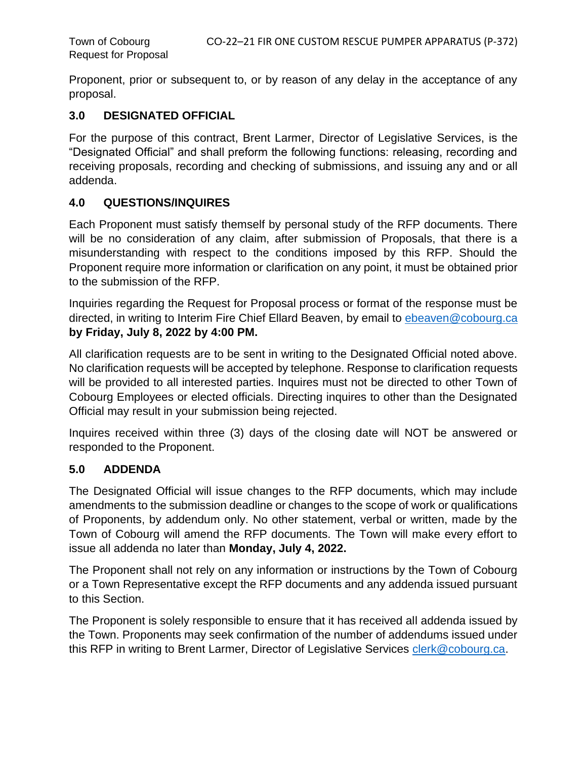Proponent, prior or subsequent to, or by reason of any delay in the acceptance of any proposal.

## **3.0 DESIGNATED OFFICIAL**

For the purpose of this contract, Brent Larmer, Director of Legislative Services, is the "Designated Official" and shall preform the following functions: releasing, recording and receiving proposals, recording and checking of submissions, and issuing any and or all addenda.

## **4.0 QUESTIONS/INQUIRES**

Each Proponent must satisfy themself by personal study of the RFP documents. There will be no consideration of any claim, after submission of Proposals, that there is a misunderstanding with respect to the conditions imposed by this RFP. Should the Proponent require more information or clarification on any point, it must be obtained prior to the submission of the RFP.

Inquiries regarding the Request for Proposal process or format of the response must be directed, in writing to Interim Fire Chief Ellard Beaven, by email to [ebeaven@cobourg.ca](mailto:ebeaven@cobourg.ca) **by Friday, July 8, 2022 by 4:00 PM.**

All clarification requests are to be sent in writing to the Designated Official noted above. No clarification requests will be accepted by telephone. Response to clarification requests will be provided to all interested parties. Inquires must not be directed to other Town of Cobourg Employees or elected officials. Directing inquires to other than the Designated Official may result in your submission being rejected.

Inquires received within three (3) days of the closing date will NOT be answered or responded to the Proponent.

## **5.0 ADDENDA**

The Designated Official will issue changes to the RFP documents, which may include amendments to the submission deadline or changes to the scope of work or qualifications of Proponents, by addendum only. No other statement, verbal or written, made by the Town of Cobourg will amend the RFP documents. The Town will make every effort to issue all addenda no later than **Monday, July 4, 2022.**

The Proponent shall not rely on any information or instructions by the Town of Cobourg or a Town Representative except the RFP documents and any addenda issued pursuant to this Section.

The Proponent is solely responsible to ensure that it has received all addenda issued by the Town. Proponents may seek confirmation of the number of addendums issued under this RFP in writing to Brent Larmer, Director of Legislative Services [clerk@cobourg.ca.](mailto:clerk@cobourg.ca)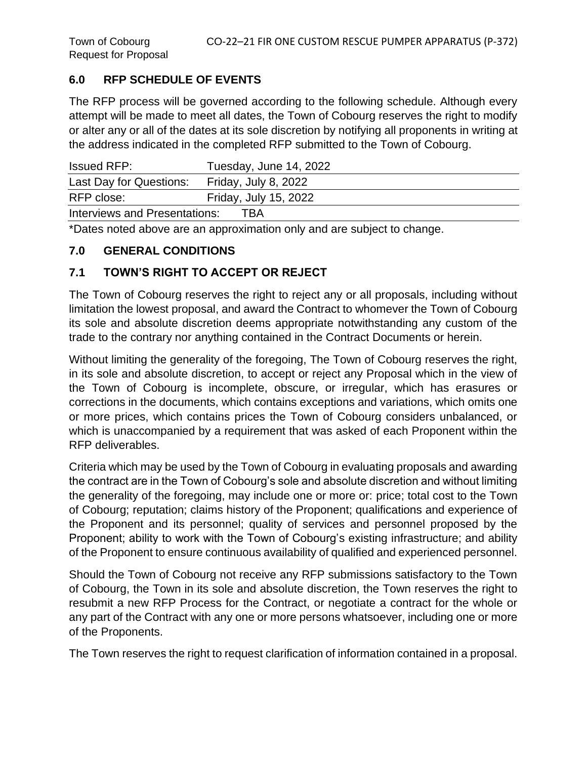## **6.0 RFP SCHEDULE OF EVENTS**

The RFP process will be governed according to the following schedule. Although every attempt will be made to meet all dates, the Town of Cobourg reserves the right to modify or alter any or all of the dates at its sole discretion by notifying all proponents in writing at the address indicated in the completed RFP submitted to the Town of Cobourg.

| <b>Issued RFP:</b>                   | Tuesday, June 14, 2022 |  |  |
|--------------------------------------|------------------------|--|--|
| Last Day for Questions:              | Friday, July 8, 2022   |  |  |
| RFP close:                           | Friday, July 15, 2022  |  |  |
| Interviews and Presentations:<br>TBA |                        |  |  |

\*Dates noted above are an approximation only and are subject to change.

## **7.0 GENERAL CONDITIONS**

# **7.1 TOWN'S RIGHT TO ACCEPT OR REJECT**

The Town of Cobourg reserves the right to reject any or all proposals, including without limitation the lowest proposal, and award the Contract to whomever the Town of Cobourg its sole and absolute discretion deems appropriate notwithstanding any custom of the trade to the contrary nor anything contained in the Contract Documents or herein.

Without limiting the generality of the foregoing, The Town of Cobourg reserves the right, in its sole and absolute discretion, to accept or reject any Proposal which in the view of the Town of Cobourg is incomplete, obscure, or irregular, which has erasures or corrections in the documents, which contains exceptions and variations, which omits one or more prices, which contains prices the Town of Cobourg considers unbalanced, or which is unaccompanied by a requirement that was asked of each Proponent within the RFP deliverables.

Criteria which may be used by the Town of Cobourg in evaluating proposals and awarding the contract are in the Town of Cobourg's sole and absolute discretion and without limiting the generality of the foregoing, may include one or more or: price; total cost to the Town of Cobourg; reputation; claims history of the Proponent; qualifications and experience of the Proponent and its personnel; quality of services and personnel proposed by the Proponent; ability to work with the Town of Cobourg's existing infrastructure; and ability of the Proponent to ensure continuous availability of qualified and experienced personnel.

Should the Town of Cobourg not receive any RFP submissions satisfactory to the Town of Cobourg, the Town in its sole and absolute discretion, the Town reserves the right to resubmit a new RFP Process for the Contract, or negotiate a contract for the whole or any part of the Contract with any one or more persons whatsoever, including one or more of the Proponents.

The Town reserves the right to request clarification of information contained in a proposal.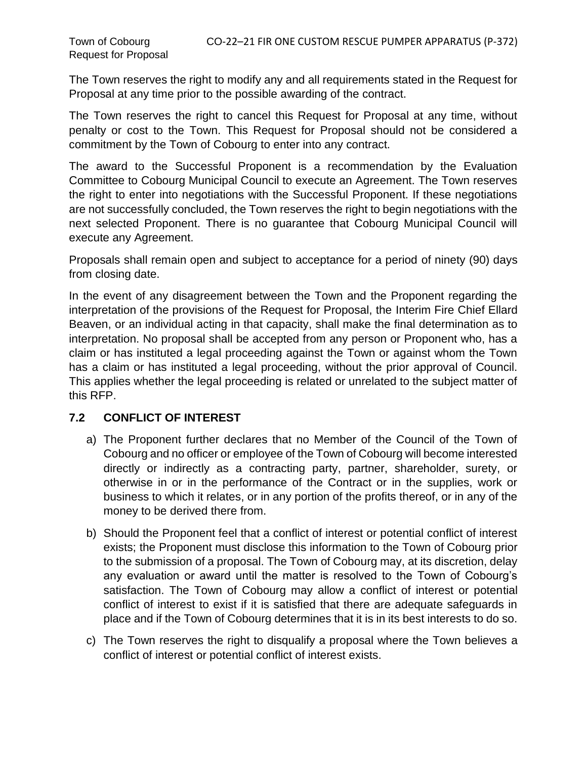The Town reserves the right to modify any and all requirements stated in the Request for Proposal at any time prior to the possible awarding of the contract.

The Town reserves the right to cancel this Request for Proposal at any time, without penalty or cost to the Town. This Request for Proposal should not be considered a commitment by the Town of Cobourg to enter into any contract.

The award to the Successful Proponent is a recommendation by the Evaluation Committee to Cobourg Municipal Council to execute an Agreement. The Town reserves the right to enter into negotiations with the Successful Proponent. If these negotiations are not successfully concluded, the Town reserves the right to begin negotiations with the next selected Proponent. There is no guarantee that Cobourg Municipal Council will execute any Agreement.

Proposals shall remain open and subject to acceptance for a period of ninety (90) days from closing date.

In the event of any disagreement between the Town and the Proponent regarding the interpretation of the provisions of the Request for Proposal, the Interim Fire Chief Ellard Beaven, or an individual acting in that capacity, shall make the final determination as to interpretation. No proposal shall be accepted from any person or Proponent who, has a claim or has instituted a legal proceeding against the Town or against whom the Town has a claim or has instituted a legal proceeding, without the prior approval of Council. This applies whether the legal proceeding is related or unrelated to the subject matter of this RFP.

## **7.2 CONFLICT OF INTEREST**

- a) The Proponent further declares that no Member of the Council of the Town of Cobourg and no officer or employee of the Town of Cobourg will become interested directly or indirectly as a contracting party, partner, shareholder, surety, or otherwise in or in the performance of the Contract or in the supplies, work or business to which it relates, or in any portion of the profits thereof, or in any of the money to be derived there from.
- b) Should the Proponent feel that a conflict of interest or potential conflict of interest exists; the Proponent must disclose this information to the Town of Cobourg prior to the submission of a proposal. The Town of Cobourg may, at its discretion, delay any evaluation or award until the matter is resolved to the Town of Cobourg's satisfaction. The Town of Cobourg may allow a conflict of interest or potential conflict of interest to exist if it is satisfied that there are adequate safeguards in place and if the Town of Cobourg determines that it is in its best interests to do so.
- c) The Town reserves the right to disqualify a proposal where the Town believes a conflict of interest or potential conflict of interest exists.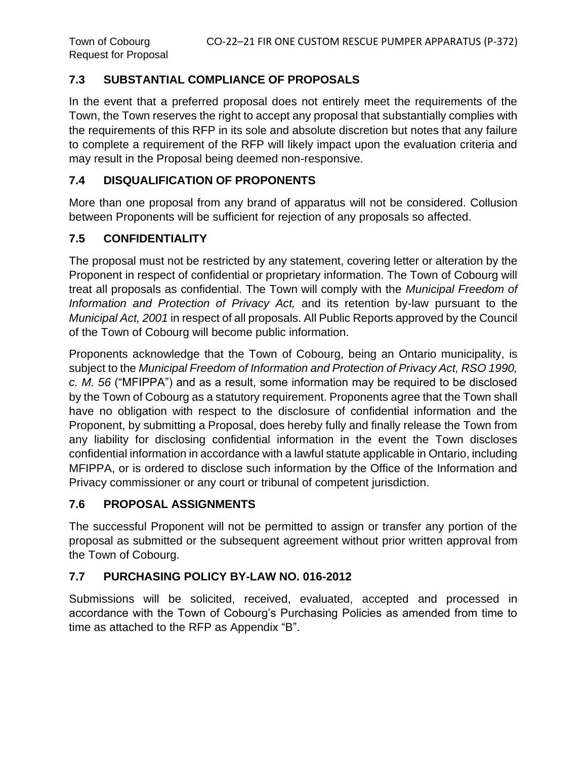# **7.3 SUBSTANTIAL COMPLIANCE OF PROPOSALS**

In the event that a preferred proposal does not entirely meet the requirements of the Town, the Town reserves the right to accept any proposal that substantially complies with the requirements of this RFP in its sole and absolute discretion but notes that any failure to complete a requirement of the RFP will likely impact upon the evaluation criteria and may result in the Proposal being deemed non-responsive.

## **7.4 DISQUALIFICATION OF PROPONENTS**

More than one proposal from any brand of apparatus will not be considered. Collusion between Proponents will be sufficient for rejection of any proposals so affected.

# **7.5 CONFIDENTIALITY**

The proposal must not be restricted by any statement, covering letter or alteration by the Proponent in respect of confidential or proprietary information. The Town of Cobourg will treat all proposals as confidential. The Town will comply with the *Municipal Freedom of Information and Protection of Privacy Act,* and its retention by-law pursuant to the *Municipal Act, 2001* in respect of all proposals. All Public Reports approved by the Council of the Town of Cobourg will become public information.

Proponents acknowledge that the Town of Cobourg, being an Ontario municipality, is subject to the *Municipal Freedom of Information and Protection of Privacy Act, RSO 1990, c. M. 56* ("MFIPPA") and as a result, some information may be required to be disclosed by the Town of Cobourg as a statutory requirement. Proponents agree that the Town shall have no obligation with respect to the disclosure of confidential information and the Proponent, by submitting a Proposal, does hereby fully and finally release the Town from any liability for disclosing confidential information in the event the Town discloses confidential information in accordance with a lawful statute applicable in Ontario, including MFIPPA, or is ordered to disclose such information by the Office of the Information and Privacy commissioner or any court or tribunal of competent jurisdiction.

## **7.6 PROPOSAL ASSIGNMENTS**

The successful Proponent will not be permitted to assign or transfer any portion of the proposal as submitted or the subsequent agreement without prior written approval from the Town of Cobourg.

## **7.7 PURCHASING POLICY BY-LAW NO. 016-2012**

Submissions will be solicited, received, evaluated, accepted and processed in accordance with the Town of Cobourg's Purchasing Policies as amended from time to time as attached to the RFP as Appendix "B".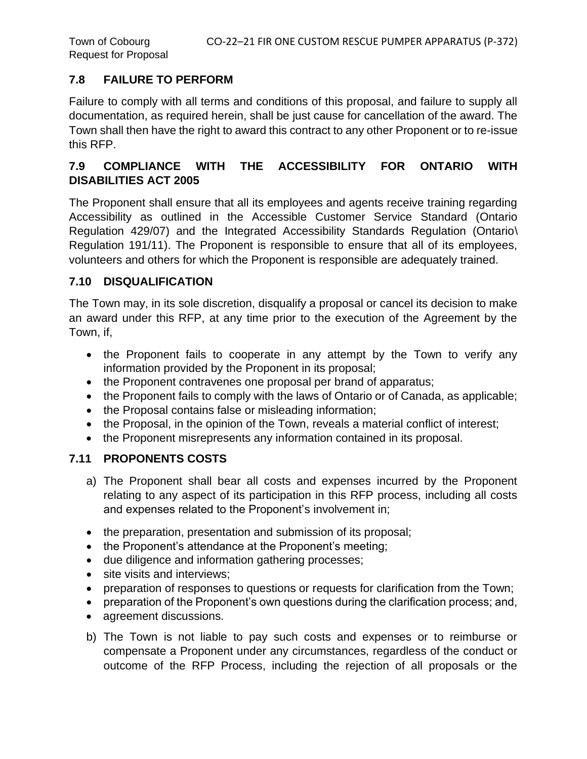## **7.8 FAILURE TO PERFORM**

Failure to comply with all terms and conditions of this proposal, and failure to supply all documentation, as required herein, shall be just cause for cancellation of the award. The Town shall then have the right to award this contract to any other Proponent or to re-issue this RFP.

## **7.9 COMPLIANCE WITH THE ACCESSIBILITY FOR ONTARIO WITH DISABILITIES ACT 2005**

The Proponent shall ensure that all its employees and agents receive training regarding Accessibility as outlined in the Accessible Customer Service Standard (Ontario Regulation 429/07) and the Integrated Accessibility Standards Regulation (Ontario\ Regulation 191/11). The Proponent is responsible to ensure that all of its employees, volunteers and others for which the Proponent is responsible are adequately trained.

## **7.10 DISQUALIFICATION**

The Town may, in its sole discretion, disqualify a proposal or cancel its decision to make an award under this RFP, at any time prior to the execution of the Agreement by the Town, if,

- the Proponent fails to cooperate in any attempt by the Town to verify any information provided by the Proponent in its proposal;
- the Proponent contravenes one proposal per brand of apparatus;
- the Proponent fails to comply with the laws of Ontario or of Canada, as applicable;
- the Proposal contains false or misleading information;
- the Proposal, in the opinion of the Town, reveals a material conflict of interest;
- the Proponent misrepresents any information contained in its proposal.

## **7.11 PROPONENTS COSTS**

- a) The Proponent shall bear all costs and expenses incurred by the Proponent relating to any aspect of its participation in this RFP process, including all costs and expenses related to the Proponent's involvement in;
- the preparation, presentation and submission of its proposal;
- the Proponent's attendance at the Proponent's meeting;
- due diligence and information gathering processes;
- site visits and interviews;
- preparation of responses to questions or requests for clarification from the Town;
- preparation of the Proponent's own questions during the clarification process; and,
- agreement discussions.
- b) The Town is not liable to pay such costs and expenses or to reimburse or compensate a Proponent under any circumstances, regardless of the conduct or outcome of the RFP Process, including the rejection of all proposals or the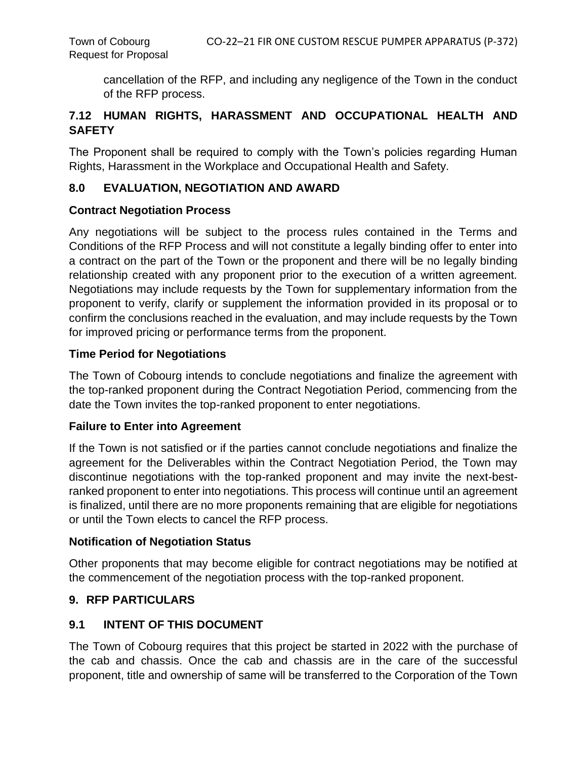cancellation of the RFP, and including any negligence of the Town in the conduct of the RFP process.

## **7.12 HUMAN RIGHTS, HARASSMENT AND OCCUPATIONAL HEALTH AND SAFETY**

The Proponent shall be required to comply with the Town's policies regarding Human Rights, Harassment in the Workplace and Occupational Health and Safety.

## **8.0 EVALUATION, NEGOTIATION AND AWARD**

## **Contract Negotiation Process**

Any negotiations will be subject to the process rules contained in the Terms and Conditions of the RFP Process and will not constitute a legally binding offer to enter into a contract on the part of the Town or the proponent and there will be no legally binding relationship created with any proponent prior to the execution of a written agreement. Negotiations may include requests by the Town for supplementary information from the proponent to verify, clarify or supplement the information provided in its proposal or to confirm the conclusions reached in the evaluation, and may include requests by the Town for improved pricing or performance terms from the proponent.

## **Time Period for Negotiations**

The Town of Cobourg intends to conclude negotiations and finalize the agreement with the top-ranked proponent during the Contract Negotiation Period, commencing from the date the Town invites the top-ranked proponent to enter negotiations.

## **Failure to Enter into Agreement**

If the Town is not satisfied or if the parties cannot conclude negotiations and finalize the agreement for the Deliverables within the Contract Negotiation Period, the Town may discontinue negotiations with the top-ranked proponent and may invite the next-bestranked proponent to enter into negotiations. This process will continue until an agreement is finalized, until there are no more proponents remaining that are eligible for negotiations or until the Town elects to cancel the RFP process.

## **Notification of Negotiation Status**

Other proponents that may become eligible for contract negotiations may be notified at the commencement of the negotiation process with the top-ranked proponent.

## **9. RFP PARTICULARS**

## **9.1 INTENT OF THIS DOCUMENT**

The Town of Cobourg requires that this project be started in 2022 with the purchase of the cab and chassis. Once the cab and chassis are in the care of the successful proponent, title and ownership of same will be transferred to the Corporation of the Town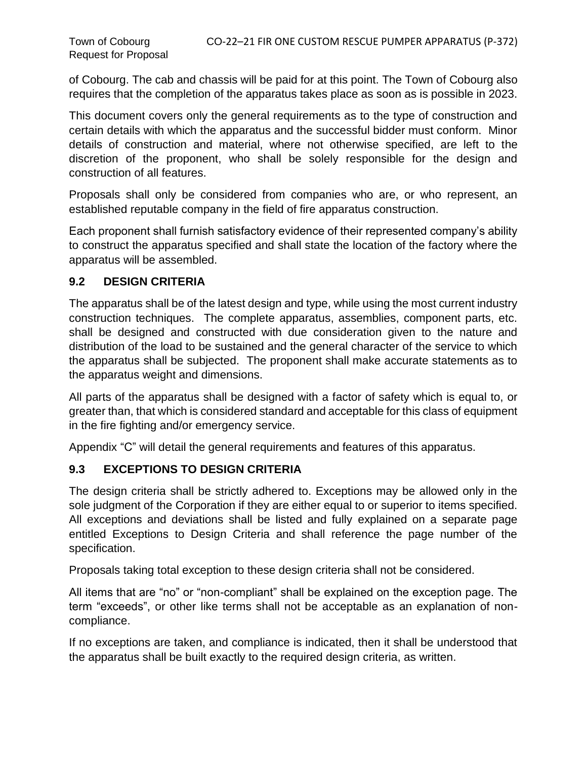of Cobourg. The cab and chassis will be paid for at this point. The Town of Cobourg also requires that the completion of the apparatus takes place as soon as is possible in 2023.

This document covers only the general requirements as to the type of construction and certain details with which the apparatus and the successful bidder must conform. Minor details of construction and material, where not otherwise specified, are left to the discretion of the proponent, who shall be solely responsible for the design and construction of all features.

Proposals shall only be considered from companies who are, or who represent, an established reputable company in the field of fire apparatus construction.

Each proponent shall furnish satisfactory evidence of their represented company's ability to construct the apparatus specified and shall state the location of the factory where the apparatus will be assembled.

## **9.2 DESIGN CRITERIA**

The apparatus shall be of the latest design and type, while using the most current industry construction techniques. The complete apparatus, assemblies, component parts, etc. shall be designed and constructed with due consideration given to the nature and distribution of the load to be sustained and the general character of the service to which the apparatus shall be subjected. The proponent shall make accurate statements as to the apparatus weight and dimensions.

All parts of the apparatus shall be designed with a factor of safety which is equal to, or greater than, that which is considered standard and acceptable for this class of equipment in the fire fighting and/or emergency service.

Appendix "C" will detail the general requirements and features of this apparatus.

## **9.3 EXCEPTIONS TO DESIGN CRITERIA**

The design criteria shall be strictly adhered to. Exceptions may be allowed only in the sole judgment of the Corporation if they are either equal to or superior to items specified. All exceptions and deviations shall be listed and fully explained on a separate page entitled Exceptions to Design Criteria and shall reference the page number of the specification.

Proposals taking total exception to these design criteria shall not be considered.

All items that are "no" or "non-compliant" shall be explained on the exception page. The term "exceeds", or other like terms shall not be acceptable as an explanation of noncompliance.

If no exceptions are taken, and compliance is indicated, then it shall be understood that the apparatus shall be built exactly to the required design criteria, as written.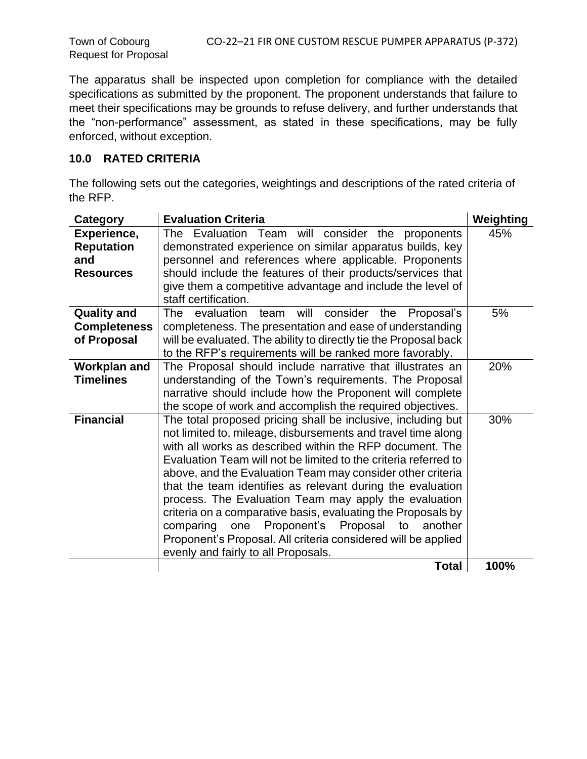Request for Proposal

The apparatus shall be inspected upon completion for compliance with the detailed specifications as submitted by the proponent. The proponent understands that failure to meet their specifications may be grounds to refuse delivery, and further understands that the "non-performance" assessment, as stated in these specifications, may be fully enforced, without exception.

# **10.0 RATED CRITERIA**

The following sets out the categories, weightings and descriptions of the rated criteria of the RFP.

| Category                                                    | <b>Evaluation Criteria</b>                                                                                                                                                                                                                                                                                                                                                                                                                                                                                                                                                                                                                                                            | Weighting |
|-------------------------------------------------------------|---------------------------------------------------------------------------------------------------------------------------------------------------------------------------------------------------------------------------------------------------------------------------------------------------------------------------------------------------------------------------------------------------------------------------------------------------------------------------------------------------------------------------------------------------------------------------------------------------------------------------------------------------------------------------------------|-----------|
| Experience,<br><b>Reputation</b><br>and<br><b>Resources</b> | The Evaluation Team will consider the proponents<br>demonstrated experience on similar apparatus builds, key<br>personnel and references where applicable. Proponents<br>should include the features of their products/services that<br>give them a competitive advantage and include the level of<br>staff certification.                                                                                                                                                                                                                                                                                                                                                            | 45%       |
| <b>Quality and</b><br><b>Completeness</b><br>of Proposal    | The<br>will consider the<br>evaluation<br>Proposal's<br>team<br>completeness. The presentation and ease of understanding<br>will be evaluated. The ability to directly tie the Proposal back<br>to the RFP's requirements will be ranked more favorably.                                                                                                                                                                                                                                                                                                                                                                                                                              | 5%        |
| <b>Workplan and</b><br><b>Timelines</b>                     | The Proposal should include narrative that illustrates an<br>understanding of the Town's requirements. The Proposal<br>narrative should include how the Proponent will complete<br>the scope of work and accomplish the required objectives.                                                                                                                                                                                                                                                                                                                                                                                                                                          | 20%       |
| <b>Financial</b>                                            | The total proposed pricing shall be inclusive, including but<br>not limited to, mileage, disbursements and travel time along<br>with all works as described within the RFP document. The<br>Evaluation Team will not be limited to the criteria referred to<br>above, and the Evaluation Team may consider other criteria<br>that the team identifies as relevant during the evaluation<br>process. The Evaluation Team may apply the evaluation<br>criteria on a comparative basis, evaluating the Proposals by<br>Proponent's Proposal<br>one<br>comparing<br>to<br>another<br>Proponent's Proposal. All criteria considered will be applied<br>evenly and fairly to all Proposals. | 30%       |
|                                                             | <b>Total</b>                                                                                                                                                                                                                                                                                                                                                                                                                                                                                                                                                                                                                                                                          | 100%      |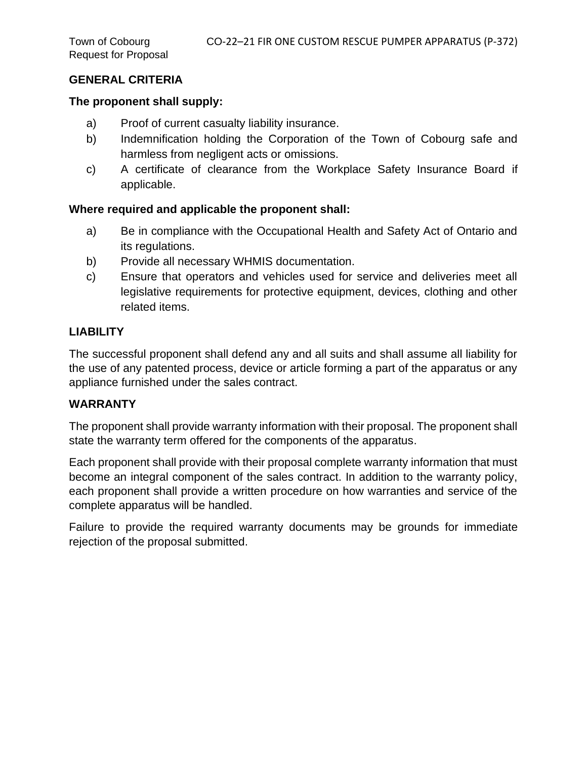## **GENERAL CRITERIA**

#### **The proponent shall supply:**

- a) Proof of current casualty liability insurance.
- b) Indemnification holding the Corporation of the Town of Cobourg safe and harmless from negligent acts or omissions.
- c) A certificate of clearance from the Workplace Safety Insurance Board if applicable.

## **Where required and applicable the proponent shall:**

- a) Be in compliance with the Occupational Health and Safety Act of Ontario and its regulations.
- b) Provide all necessary WHMIS documentation.
- c) Ensure that operators and vehicles used for service and deliveries meet all legislative requirements for protective equipment, devices, clothing and other related items.

## **LIABILITY**

The successful proponent shall defend any and all suits and shall assume all liability for the use of any patented process, device or article forming a part of the apparatus or any appliance furnished under the sales contract.

## **WARRANTY**

The proponent shall provide warranty information with their proposal. The proponent shall state the warranty term offered for the components of the apparatus.

Each proponent shall provide with their proposal complete warranty information that must become an integral component of the sales contract. In addition to the warranty policy, each proponent shall provide a written procedure on how warranties and service of the complete apparatus will be handled.

Failure to provide the required warranty documents may be grounds for immediate rejection of the proposal submitted.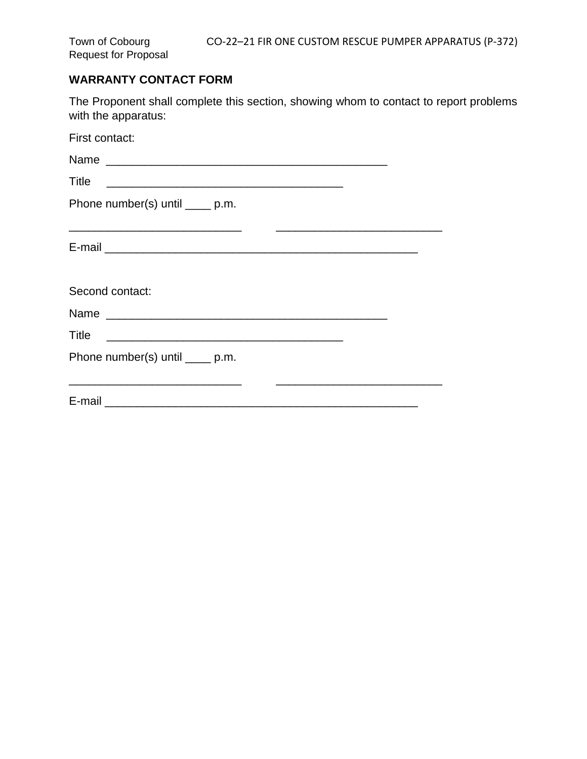# **WARRANTY CONTACT FORM**

The Proponent shall complete this section, showing whom to contact to report problems with the apparatus:

| First contact:                                                                                                                |  |
|-------------------------------------------------------------------------------------------------------------------------------|--|
| Name                                                                                                                          |  |
| Title<br><u> 1980 - Jan James James James James James James James James James James James James James James James James J</u> |  |
| Phone number(s) until _____ p.m.                                                                                              |  |
|                                                                                                                               |  |
| Second contact:                                                                                                               |  |
|                                                                                                                               |  |
|                                                                                                                               |  |
| Phone number(s) until ____ p.m.<br><u> 1980 - Johann Stoff, amerikansk politiker (d. 1980)</u>                                |  |
|                                                                                                                               |  |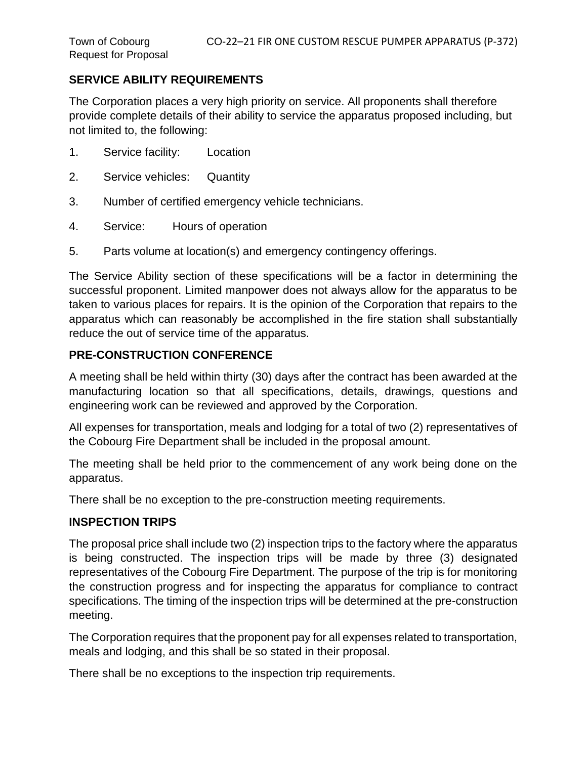## **SERVICE ABILITY REQUIREMENTS**

The Corporation places a very high priority on service. All proponents shall therefore provide complete details of their ability to service the apparatus proposed including, but not limited to, the following:

- 1. Service facility: Location
- 2. Service vehicles: Quantity
- 3. Number of certified emergency vehicle technicians.
- 4. Service: Hours of operation
- 5. Parts volume at location(s) and emergency contingency offerings.

The Service Ability section of these specifications will be a factor in determining the successful proponent. Limited manpower does not always allow for the apparatus to be taken to various places for repairs. It is the opinion of the Corporation that repairs to the apparatus which can reasonably be accomplished in the fire station shall substantially reduce the out of service time of the apparatus.

## **PRE-CONSTRUCTION CONFERENCE**

A meeting shall be held within thirty (30) days after the contract has been awarded at the manufacturing location so that all specifications, details, drawings, questions and engineering work can be reviewed and approved by the Corporation.

All expenses for transportation, meals and lodging for a total of two (2) representatives of the Cobourg Fire Department shall be included in the proposal amount.

The meeting shall be held prior to the commencement of any work being done on the apparatus.

There shall be no exception to the pre-construction meeting requirements.

## **INSPECTION TRIPS**

The proposal price shall include two (2) inspection trips to the factory where the apparatus is being constructed. The inspection trips will be made by three (3) designated representatives of the Cobourg Fire Department. The purpose of the trip is for monitoring the construction progress and for inspecting the apparatus for compliance to contract specifications. The timing of the inspection trips will be determined at the pre-construction meeting.

The Corporation requires that the proponent pay for all expenses related to transportation, meals and lodging, and this shall be so stated in their proposal.

There shall be no exceptions to the inspection trip requirements.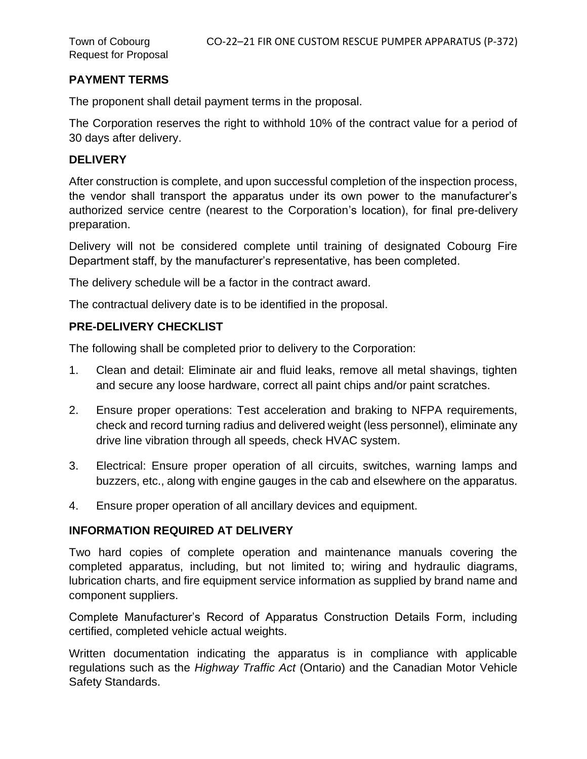## **PAYMENT TERMS**

The proponent shall detail payment terms in the proposal.

The Corporation reserves the right to withhold 10% of the contract value for a period of 30 days after delivery.

#### **DELIVERY**

After construction is complete, and upon successful completion of the inspection process, the vendor shall transport the apparatus under its own power to the manufacturer's authorized service centre (nearest to the Corporation's location), for final pre-delivery preparation.

Delivery will not be considered complete until training of designated Cobourg Fire Department staff, by the manufacturer's representative, has been completed.

The delivery schedule will be a factor in the contract award.

The contractual delivery date is to be identified in the proposal.

## **PRE-DELIVERY CHECKLIST**

The following shall be completed prior to delivery to the Corporation:

- 1. Clean and detail: Eliminate air and fluid leaks, remove all metal shavings, tighten and secure any loose hardware, correct all paint chips and/or paint scratches.
- 2. Ensure proper operations: Test acceleration and braking to NFPA requirements, check and record turning radius and delivered weight (less personnel), eliminate any drive line vibration through all speeds, check HVAC system.
- 3. Electrical: Ensure proper operation of all circuits, switches, warning lamps and buzzers, etc., along with engine gauges in the cab and elsewhere on the apparatus.
- 4. Ensure proper operation of all ancillary devices and equipment.

## **INFORMATION REQUIRED AT DELIVERY**

Two hard copies of complete operation and maintenance manuals covering the completed apparatus, including, but not limited to; wiring and hydraulic diagrams, lubrication charts, and fire equipment service information as supplied by brand name and component suppliers.

Complete Manufacturer's Record of Apparatus Construction Details Form, including certified, completed vehicle actual weights.

Written documentation indicating the apparatus is in compliance with applicable regulations such as the *Highway Traffic Act* (Ontario) and the Canadian Motor Vehicle Safety Standards.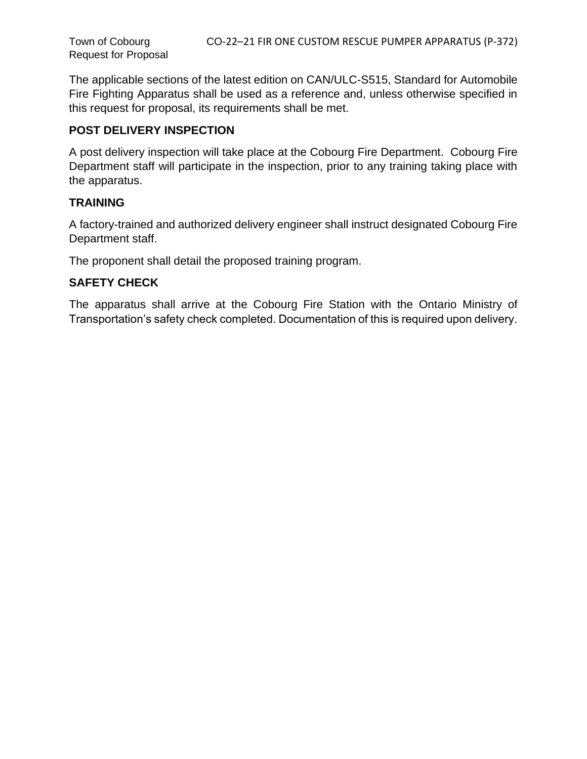The applicable sections of the latest edition on CAN/ULC-S515, Standard for Automobile Fire Fighting Apparatus shall be used as a reference and, unless otherwise specified in this request for proposal, its requirements shall be met.

## **POST DELIVERY INSPECTION**

A post delivery inspection will take place at the Cobourg Fire Department. Cobourg Fire Department staff will participate in the inspection, prior to any training taking place with the apparatus.

## **TRAINING**

A factory-trained and authorized delivery engineer shall instruct designated Cobourg Fire Department staff.

The proponent shall detail the proposed training program.

## **SAFETY CHECK**

The apparatus shall arrive at the Cobourg Fire Station with the Ontario Ministry of Transportation's safety check completed. Documentation of this is required upon delivery.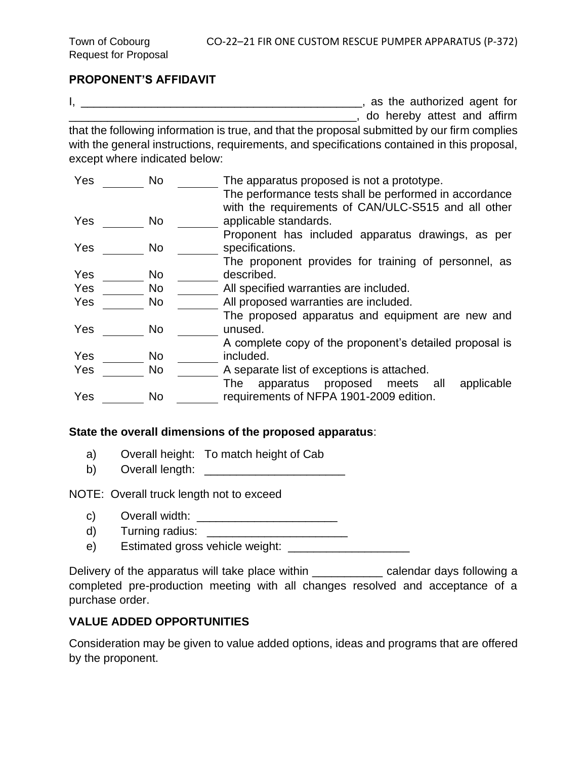## **PROPONENT'S AFFIDAVIT**

I, \_\_\_\_\_\_\_\_\_\_\_\_\_\_\_\_\_\_\_\_\_\_\_\_\_\_\_\_\_\_\_\_\_\_\_\_\_\_\_\_\_\_\_\_, as the authorized agent for \_\_\_\_\_\_\_\_\_\_\_\_\_\_\_\_\_\_\_\_\_\_\_\_\_\_\_\_\_\_\_\_\_\_\_\_\_\_\_\_\_\_\_\_\_, do hereby attest and affirm that the following information is true, and that the proposal submitted by our firm complies with the general instructions, requirements, and specifications contained in this proposal, except where indicated below:

| Yes | <b>No</b> | The apparatus proposed is not a prototype.<br>The performance tests shall be performed in accordance<br>with the requirements of CAN/ULC-S515 and all other |  |
|-----|-----------|-------------------------------------------------------------------------------------------------------------------------------------------------------------|--|
| Yes | No        | applicable standards.                                                                                                                                       |  |
|     |           | Proponent has included apparatus drawings, as per                                                                                                           |  |
| Yes | No        | specifications.                                                                                                                                             |  |
|     |           | The proponent provides for training of personnel, as                                                                                                        |  |
| Yes | No        | described.                                                                                                                                                  |  |
| Yes | No        | All specified warranties are included.                                                                                                                      |  |
| Yes | No        | All proposed warranties are included.                                                                                                                       |  |
|     |           | The proposed apparatus and equipment are new and                                                                                                            |  |
| Yes | No        | unused.                                                                                                                                                     |  |
|     |           | A complete copy of the proponent's detailed proposal is                                                                                                     |  |
| Yes | No.       | included.                                                                                                                                                   |  |
| Yes | No.       | A separate list of exceptions is attached.                                                                                                                  |  |
|     |           | The<br>apparatus proposed<br>applicable<br>meets<br>all                                                                                                     |  |
| Yes | No        | requirements of NFPA 1901-2009 edition.                                                                                                                     |  |

## **State the overall dimensions of the proposed apparatus**:

- a) Overall height: To match height of Cab
- b) Overall length: \_\_\_\_\_\_\_\_\_\_\_\_\_\_\_\_\_\_\_\_\_\_

NOTE: Overall truck length not to exceed

- c) Overall width: \_\_\_\_\_\_\_\_\_\_\_\_\_\_\_\_\_\_\_\_\_\_
- d) Turning radius: \_\_\_\_\_\_\_\_\_\_\_\_\_\_\_\_\_\_\_\_\_\_
- e) Estimated gross vehicle weight: \_\_\_\_\_\_\_\_\_\_\_\_\_\_\_\_\_\_\_

Delivery of the apparatus will take place within \_\_\_\_\_\_\_\_\_\_\_\_\_ calendar days following a completed pre-production meeting with all changes resolved and acceptance of a purchase order.

## **VALUE ADDED OPPORTUNITIES**

Consideration may be given to value added options, ideas and programs that are offered by the proponent.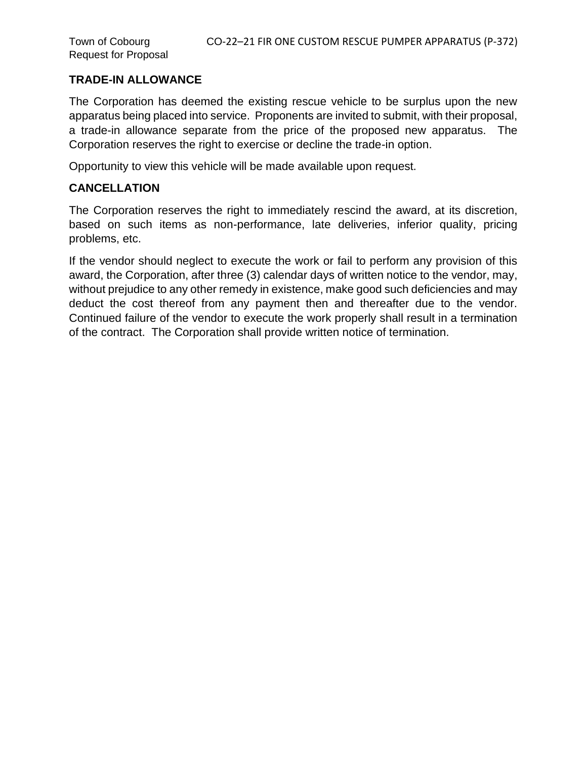## **TRADE-IN ALLOWANCE**

The Corporation has deemed the existing rescue vehicle to be surplus upon the new apparatus being placed into service. Proponents are invited to submit, with their proposal, a trade-in allowance separate from the price of the proposed new apparatus. The Corporation reserves the right to exercise or decline the trade-in option.

Opportunity to view this vehicle will be made available upon request.

#### **CANCELLATION**

The Corporation reserves the right to immediately rescind the award, at its discretion, based on such items as non-performance, late deliveries, inferior quality, pricing problems, etc.

If the vendor should neglect to execute the work or fail to perform any provision of this award, the Corporation, after three (3) calendar days of written notice to the vendor, may, without prejudice to any other remedy in existence, make good such deficiencies and may deduct the cost thereof from any payment then and thereafter due to the vendor. Continued failure of the vendor to execute the work properly shall result in a termination of the contract. The Corporation shall provide written notice of termination.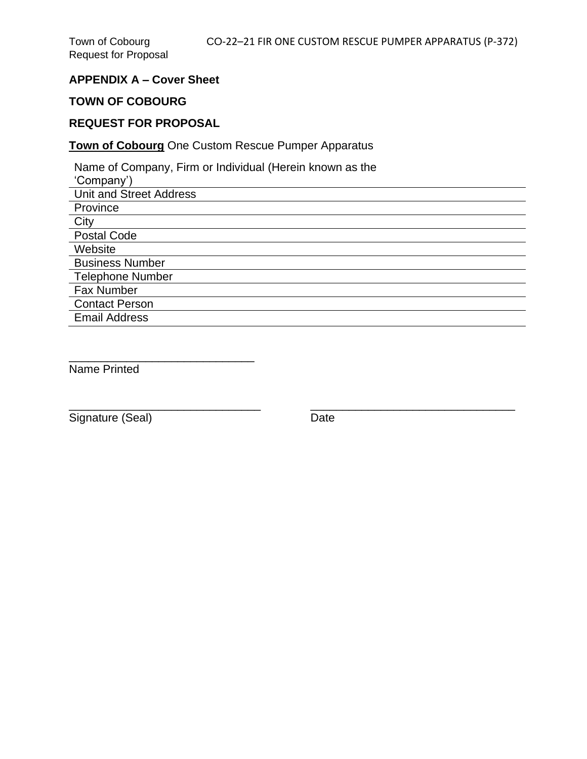$\overline{\phantom{a}}$  $\overline{\phantom{0}}$  $\overline{\phantom{0}}$  $\overline{\phantom{a}}$ 

## **APPENDIX A – Cover Sheet**

## **TOWN OF COBOURG**

# **REQUEST FOR PROPOSAL**

## **Town of Cobourg** One Custom Rescue Pumper Apparatus

| Name of Company, Firm or Individual (Herein known as the |
|----------------------------------------------------------|
| 'Company')                                               |
| <b>Unit and Street Address</b>                           |
| Province                                                 |
| City                                                     |
| <b>Postal Code</b>                                       |
| Website                                                  |
| <b>Business Number</b>                                   |
| <b>Telephone Number</b>                                  |
| <b>Fax Number</b>                                        |
| <b>Contact Person</b>                                    |
| <b>Email Address</b>                                     |

\_\_\_\_\_\_\_\_\_\_\_\_\_\_\_\_\_\_\_\_\_\_\_\_\_\_\_\_\_\_ \_\_\_\_\_\_\_\_\_\_\_\_\_\_\_\_\_\_\_\_\_\_\_\_\_\_\_\_\_\_\_\_

Name Printed

\_\_\_\_\_\_\_\_\_\_\_\_\_\_\_\_\_\_\_\_\_\_\_\_\_\_\_\_\_

Signature (Seal) Date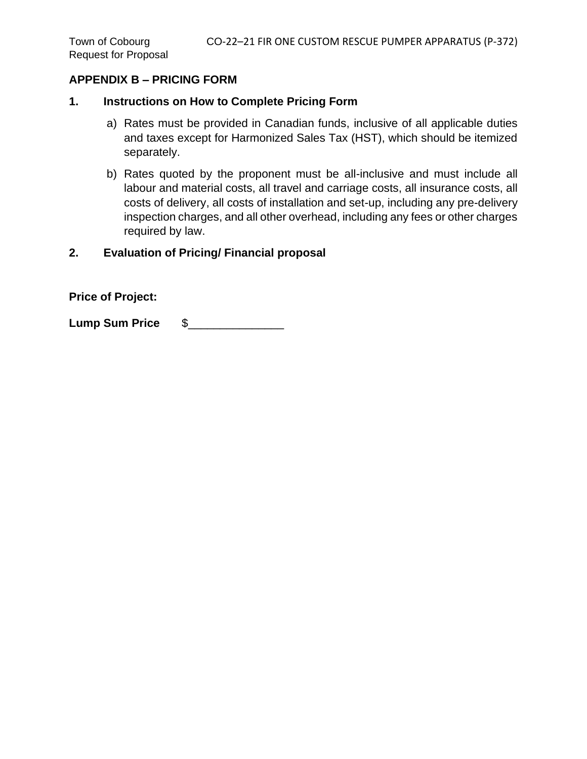## **APPENDIX B – PRICING FORM**

#### **1. Instructions on How to Complete Pricing Form**

- a) Rates must be provided in Canadian funds, inclusive of all applicable duties and taxes except for Harmonized Sales Tax (HST), which should be itemized separately.
- b) Rates quoted by the proponent must be all-inclusive and must include all labour and material costs, all travel and carriage costs, all insurance costs, all costs of delivery, all costs of installation and set-up, including any pre-delivery inspection charges, and all other overhead, including any fees or other charges required by law.

#### **2. Evaluation of Pricing/ Financial proposal**

**Price of Project:**

**Lump Sum Price** \$\_\_\_\_\_\_\_\_\_\_\_\_\_\_\_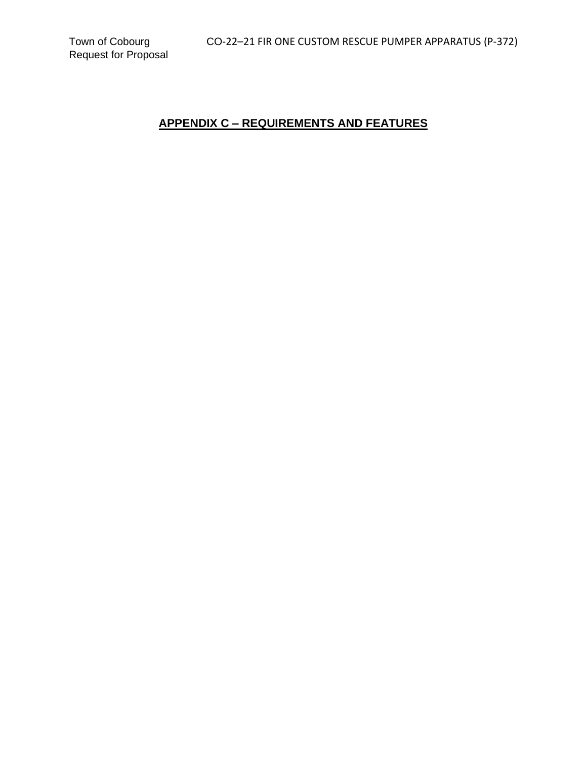# **APPENDIX C – REQUIREMENTS AND FEATURES**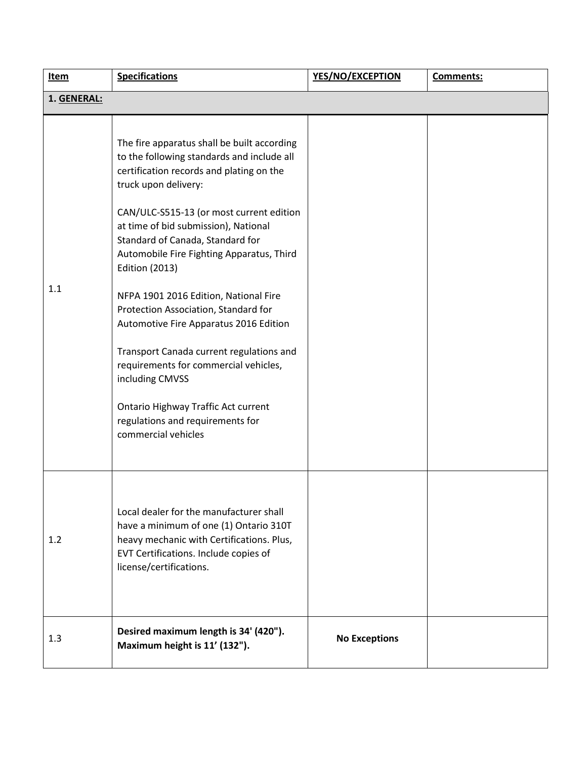| <u>Item</u> | <b>Specifications</b>                                                                                                                                                                                                                                                                                                                                                                                                                                                                                                                                                                                                                                                                            | YES/NO/EXCEPTION     | Comments: |
|-------------|--------------------------------------------------------------------------------------------------------------------------------------------------------------------------------------------------------------------------------------------------------------------------------------------------------------------------------------------------------------------------------------------------------------------------------------------------------------------------------------------------------------------------------------------------------------------------------------------------------------------------------------------------------------------------------------------------|----------------------|-----------|
| 1. GENERAL: |                                                                                                                                                                                                                                                                                                                                                                                                                                                                                                                                                                                                                                                                                                  |                      |           |
| 1.1         | The fire apparatus shall be built according<br>to the following standards and include all<br>certification records and plating on the<br>truck upon delivery:<br>CAN/ULC-S515-13 (or most current edition<br>at time of bid submission), National<br>Standard of Canada, Standard for<br>Automobile Fire Fighting Apparatus, Third<br><b>Edition (2013)</b><br>NFPA 1901 2016 Edition, National Fire<br>Protection Association, Standard for<br>Automotive Fire Apparatus 2016 Edition<br>Transport Canada current regulations and<br>requirements for commercial vehicles,<br>including CMVSS<br>Ontario Highway Traffic Act current<br>regulations and requirements for<br>commercial vehicles |                      |           |
| 1.2         | Local dealer for the manufacturer shall<br>have a minimum of one (1) Ontario 310T<br>heavy mechanic with Certifications. Plus,<br>EVT Certifications. Include copies of<br>license/certifications.                                                                                                                                                                                                                                                                                                                                                                                                                                                                                               |                      |           |
| 1.3         | Desired maximum length is 34' (420").<br>Maximum height is 11' (132").                                                                                                                                                                                                                                                                                                                                                                                                                                                                                                                                                                                                                           | <b>No Exceptions</b> |           |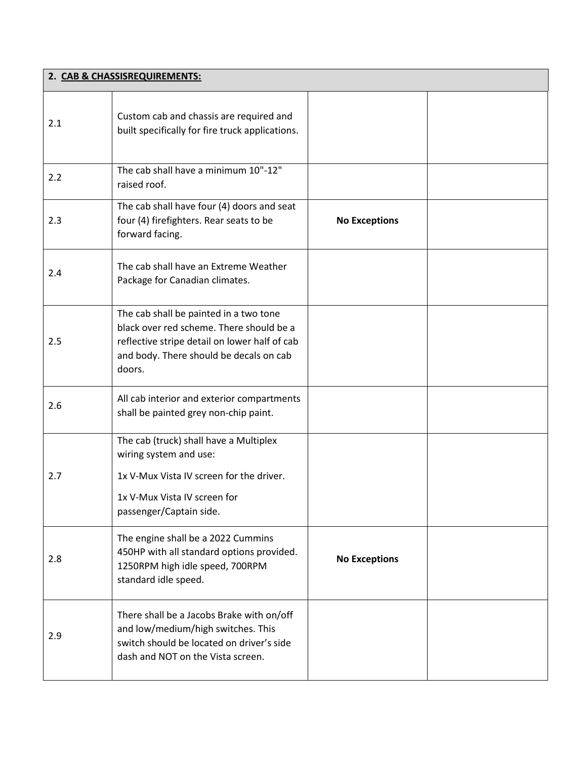| 2. CAB & CHASSISREQUIREMENTS: |                                                                                                                                                                                          |                      |  |
|-------------------------------|------------------------------------------------------------------------------------------------------------------------------------------------------------------------------------------|----------------------|--|
| 2.1                           | Custom cab and chassis are required and<br>built specifically for fire truck applications.                                                                                               |                      |  |
| 2.2                           | The cab shall have a minimum 10"-12"<br>raised roof.                                                                                                                                     |                      |  |
| 2.3                           | The cab shall have four (4) doors and seat<br>four (4) firefighters. Rear seats to be<br>forward facing.                                                                                 | <b>No Exceptions</b> |  |
| 2.4                           | The cab shall have an Extreme Weather<br>Package for Canadian climates.                                                                                                                  |                      |  |
| 2.5                           | The cab shall be painted in a two tone<br>black over red scheme. There should be a<br>reflective stripe detail on lower half of cab<br>and body. There should be decals on cab<br>doors. |                      |  |
| 2.6                           | All cab interior and exterior compartments<br>shall be painted grey non-chip paint.                                                                                                      |                      |  |
| 2.7                           | The cab (truck) shall have a Multiplex<br>wiring system and use:<br>1x V-Mux Vista IV screen for the driver.<br>1x V-Mux Vista IV screen for<br>passenger/Captain side.                  |                      |  |
| 2.8                           | The engine shall be a 2022 Cummins<br>450HP with all standard options provided.<br>1250RPM high idle speed, 700RPM<br>standard idle speed.                                               | <b>No Exceptions</b> |  |
| 2.9                           | There shall be a Jacobs Brake with on/off<br>and low/medium/high switches. This<br>switch should be located on driver's side<br>dash and NOT on the Vista screen.                        |                      |  |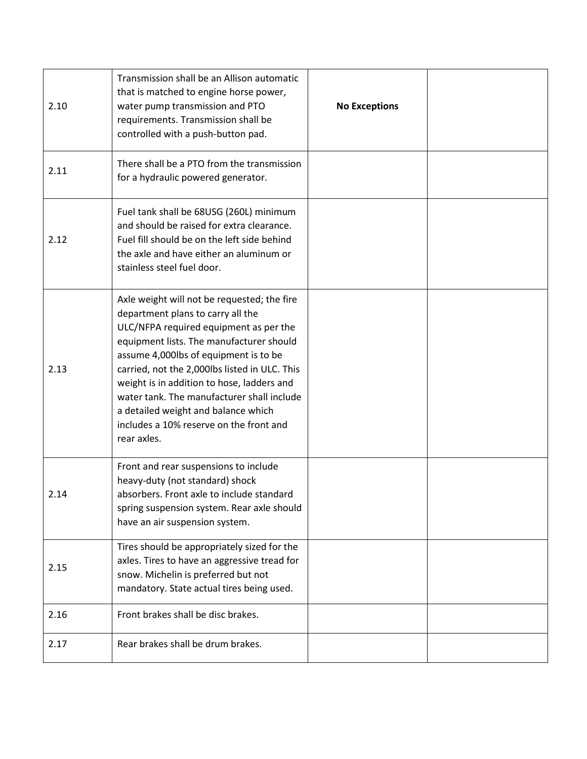| 2.10 | Transmission shall be an Allison automatic<br>that is matched to engine horse power,<br>water pump transmission and PTO<br>requirements. Transmission shall be<br>controlled with a push-button pad.                                                                                                                                                                                                                                                          | <b>No Exceptions</b> |  |
|------|---------------------------------------------------------------------------------------------------------------------------------------------------------------------------------------------------------------------------------------------------------------------------------------------------------------------------------------------------------------------------------------------------------------------------------------------------------------|----------------------|--|
| 2.11 | There shall be a PTO from the transmission<br>for a hydraulic powered generator.                                                                                                                                                                                                                                                                                                                                                                              |                      |  |
| 2.12 | Fuel tank shall be 68USG (260L) minimum<br>and should be raised for extra clearance.<br>Fuel fill should be on the left side behind<br>the axle and have either an aluminum or<br>stainless steel fuel door.                                                                                                                                                                                                                                                  |                      |  |
| 2.13 | Axle weight will not be requested; the fire<br>department plans to carry all the<br>ULC/NFPA required equipment as per the<br>equipment lists. The manufacturer should<br>assume 4,000lbs of equipment is to be<br>carried, not the 2,000lbs listed in ULC. This<br>weight is in addition to hose, ladders and<br>water tank. The manufacturer shall include<br>a detailed weight and balance which<br>includes a 10% reserve on the front and<br>rear axles. |                      |  |
| 2.14 | Front and rear suspensions to include<br>heavy-duty (not standard) shock<br>absorbers. Front axle to include standard<br>spring suspension system. Rear axle should<br>have an air suspension system.                                                                                                                                                                                                                                                         |                      |  |
| 2.15 | Tires should be appropriately sized for the<br>axles. Tires to have an aggressive tread for<br>snow. Michelin is preferred but not<br>mandatory. State actual tires being used.                                                                                                                                                                                                                                                                               |                      |  |
| 2.16 | Front brakes shall be disc brakes.                                                                                                                                                                                                                                                                                                                                                                                                                            |                      |  |
| 2.17 | Rear brakes shall be drum brakes.                                                                                                                                                                                                                                                                                                                                                                                                                             |                      |  |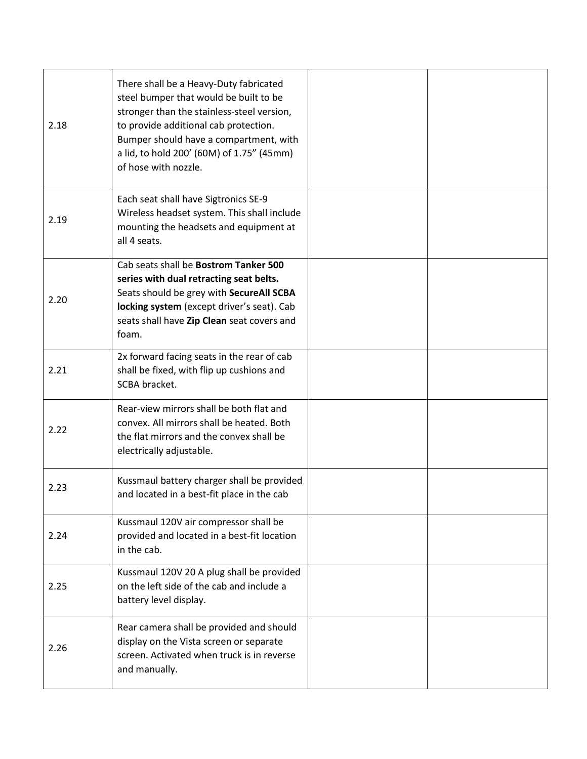| 2.18 | There shall be a Heavy-Duty fabricated<br>steel bumper that would be built to be<br>stronger than the stainless-steel version,<br>to provide additional cab protection.<br>Bumper should have a compartment, with<br>a lid, to hold 200' (60M) of 1.75" (45mm)<br>of hose with nozzle. |  |
|------|----------------------------------------------------------------------------------------------------------------------------------------------------------------------------------------------------------------------------------------------------------------------------------------|--|
| 2.19 | Each seat shall have Sigtronics SE-9<br>Wireless headset system. This shall include<br>mounting the headsets and equipment at<br>all 4 seats.                                                                                                                                          |  |
| 2.20 | Cab seats shall be Bostrom Tanker 500<br>series with dual retracting seat belts.<br>Seats should be grey with SecureAll SCBA<br>locking system (except driver's seat). Cab<br>seats shall have Zip Clean seat covers and<br>foam.                                                      |  |
| 2.21 | 2x forward facing seats in the rear of cab<br>shall be fixed, with flip up cushions and<br>SCBA bracket.                                                                                                                                                                               |  |
| 2.22 | Rear-view mirrors shall be both flat and<br>convex. All mirrors shall be heated. Both<br>the flat mirrors and the convex shall be<br>electrically adjustable.                                                                                                                          |  |
| 2.23 | Kussmaul battery charger shall be provided<br>and located in a best-fit place in the cab                                                                                                                                                                                               |  |
| 2.24 | Kussmaul 120V air compressor shall be<br>provided and located in a best-fit location<br>in the cab.                                                                                                                                                                                    |  |
| 2.25 | Kussmaul 120V 20 A plug shall be provided<br>on the left side of the cab and include a<br>battery level display.                                                                                                                                                                       |  |
| 2.26 | Rear camera shall be provided and should<br>display on the Vista screen or separate<br>screen. Activated when truck is in reverse<br>and manually.                                                                                                                                     |  |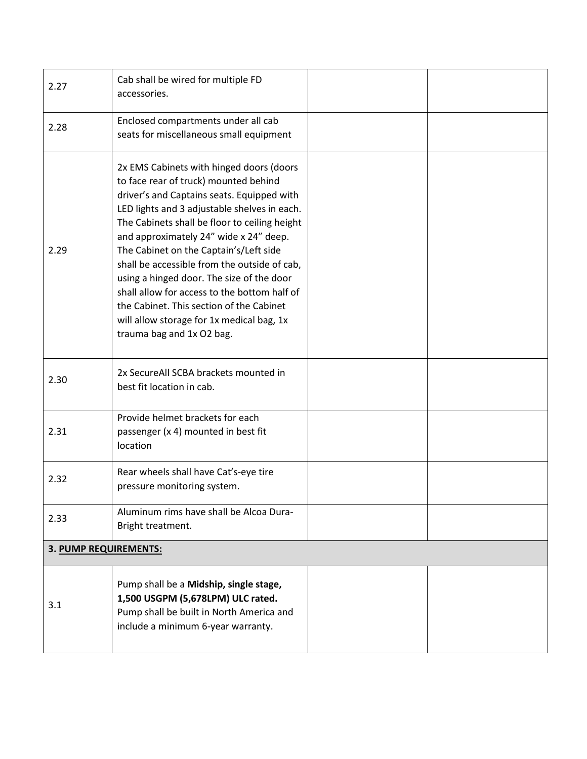| 2.27                         | Cab shall be wired for multiple FD<br>accessories.                                                                                                                                                                                                                                                                                                                                                                                                                                                                                                                                      |  |
|------------------------------|-----------------------------------------------------------------------------------------------------------------------------------------------------------------------------------------------------------------------------------------------------------------------------------------------------------------------------------------------------------------------------------------------------------------------------------------------------------------------------------------------------------------------------------------------------------------------------------------|--|
| 2.28                         | Enclosed compartments under all cab<br>seats for miscellaneous small equipment                                                                                                                                                                                                                                                                                                                                                                                                                                                                                                          |  |
| 2.29                         | 2x EMS Cabinets with hinged doors (doors<br>to face rear of truck) mounted behind<br>driver's and Captains seats. Equipped with<br>LED lights and 3 adjustable shelves in each.<br>The Cabinets shall be floor to ceiling height<br>and approximately 24" wide x 24" deep.<br>The Cabinet on the Captain's/Left side<br>shall be accessible from the outside of cab.<br>using a hinged door. The size of the door<br>shall allow for access to the bottom half of<br>the Cabinet. This section of the Cabinet<br>will allow storage for 1x medical bag, 1x<br>trauma bag and 1x O2 bag. |  |
| 2.30                         | 2x SecureAll SCBA brackets mounted in<br>best fit location in cab.                                                                                                                                                                                                                                                                                                                                                                                                                                                                                                                      |  |
| 2.31                         | Provide helmet brackets for each<br>passenger (x 4) mounted in best fit<br>location                                                                                                                                                                                                                                                                                                                                                                                                                                                                                                     |  |
| 2.32                         | Rear wheels shall have Cat's-eye tire<br>pressure monitoring system.                                                                                                                                                                                                                                                                                                                                                                                                                                                                                                                    |  |
| 2.33                         | Aluminum rims have shall be Alcoa Dura-<br>Bright treatment.                                                                                                                                                                                                                                                                                                                                                                                                                                                                                                                            |  |
| <b>3. PUMP REQUIREMENTS:</b> |                                                                                                                                                                                                                                                                                                                                                                                                                                                                                                                                                                                         |  |
| 3.1                          | Pump shall be a Midship, single stage,<br>1,500 USGPM (5,678LPM) ULC rated.<br>Pump shall be built in North America and<br>include a minimum 6-year warranty.                                                                                                                                                                                                                                                                                                                                                                                                                           |  |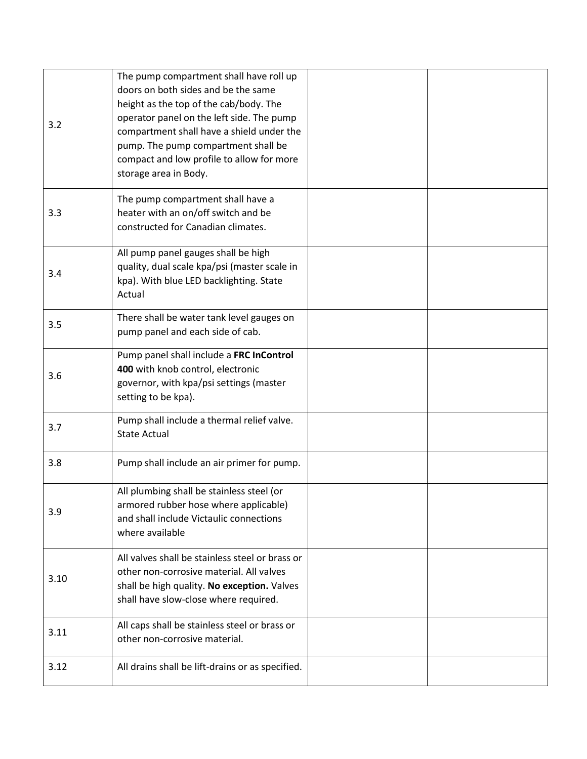| 3.2  | The pump compartment shall have roll up<br>doors on both sides and be the same<br>height as the top of the cab/body. The<br>operator panel on the left side. The pump<br>compartment shall have a shield under the<br>pump. The pump compartment shall be<br>compact and low profile to allow for more<br>storage area in Body. |  |
|------|---------------------------------------------------------------------------------------------------------------------------------------------------------------------------------------------------------------------------------------------------------------------------------------------------------------------------------|--|
| 3.3  | The pump compartment shall have a<br>heater with an on/off switch and be<br>constructed for Canadian climates.                                                                                                                                                                                                                  |  |
| 3.4  | All pump panel gauges shall be high<br>quality, dual scale kpa/psi (master scale in<br>kpa). With blue LED backlighting. State<br>Actual                                                                                                                                                                                        |  |
| 3.5  | There shall be water tank level gauges on<br>pump panel and each side of cab.                                                                                                                                                                                                                                                   |  |
| 3.6  | Pump panel shall include a FRC InControl<br>400 with knob control, electronic<br>governor, with kpa/psi settings (master<br>setting to be kpa).                                                                                                                                                                                 |  |
| 3.7  | Pump shall include a thermal relief valve.<br><b>State Actual</b>                                                                                                                                                                                                                                                               |  |
| 3.8  | Pump shall include an air primer for pump.                                                                                                                                                                                                                                                                                      |  |
| 3.9  | All plumbing shall be stainless steel (or<br>armored rubber hose where applicable)<br>and shall include Victaulic connections<br>where available                                                                                                                                                                                |  |
| 3.10 | All valves shall be stainless steel or brass or<br>other non-corrosive material. All valves<br>shall be high quality. No exception. Valves<br>shall have slow-close where required.                                                                                                                                             |  |
| 3.11 | All caps shall be stainless steel or brass or<br>other non-corrosive material.                                                                                                                                                                                                                                                  |  |
| 3.12 | All drains shall be lift-drains or as specified.                                                                                                                                                                                                                                                                                |  |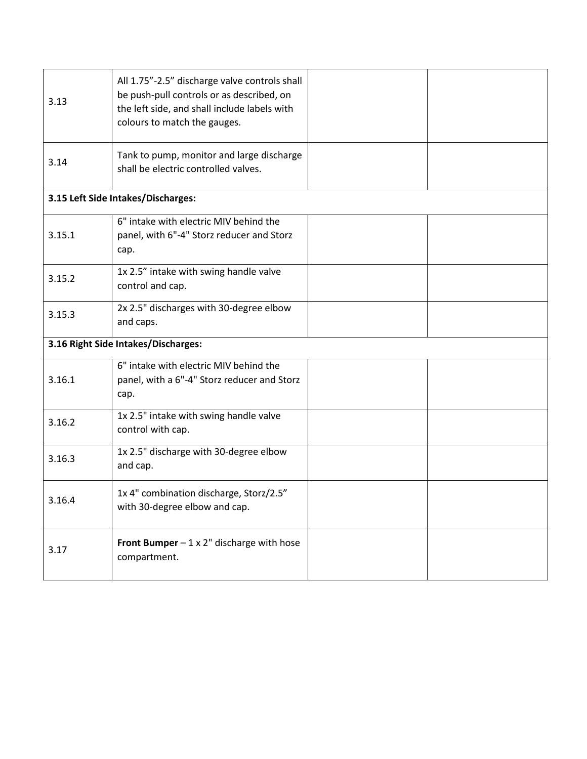| 3.13   | All 1.75"-2.5" discharge valve controls shall<br>be push-pull controls or as described, on<br>the left side, and shall include labels with<br>colours to match the gauges. |  |
|--------|----------------------------------------------------------------------------------------------------------------------------------------------------------------------------|--|
| 3.14   | Tank to pump, monitor and large discharge<br>shall be electric controlled valves.                                                                                          |  |
|        | 3.15 Left Side Intakes/Discharges:                                                                                                                                         |  |
| 3.15.1 | 6" intake with electric MIV behind the<br>panel, with 6"-4" Storz reducer and Storz<br>cap.                                                                                |  |
| 3.15.2 | 1x 2.5" intake with swing handle valve<br>control and cap.                                                                                                                 |  |
| 3.15.3 | 2x 2.5" discharges with 30-degree elbow<br>and caps.                                                                                                                       |  |
|        | 3.16 Right Side Intakes/Discharges:                                                                                                                                        |  |
| 3.16.1 | 6" intake with electric MIV behind the<br>panel, with a 6"-4" Storz reducer and Storz<br>cap.                                                                              |  |
| 3.16.2 | 1x 2.5" intake with swing handle valve<br>control with cap.                                                                                                                |  |
| 3.16.3 | 1x 2.5" discharge with 30-degree elbow<br>and cap.                                                                                                                         |  |
| 3.16.4 | 1x 4" combination discharge, Storz/2.5"<br>with 30-degree elbow and cap.                                                                                                   |  |
| 3.17   | Front Bumper $-1 \times 2$ " discharge with hose<br>compartment.                                                                                                           |  |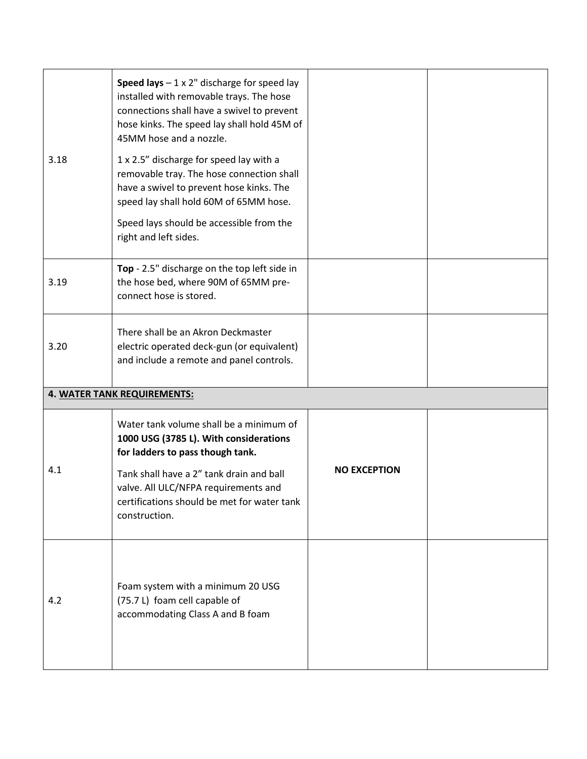| 3.18 | Speed lays $-1 \times 2$ " discharge for speed lay<br>installed with removable trays. The hose<br>connections shall have a swivel to prevent<br>hose kinks. The speed lay shall hold 45M of<br>45MM hose and a nozzle.<br>1 x 2.5" discharge for speed lay with a<br>removable tray. The hose connection shall<br>have a swivel to prevent hose kinks. The<br>speed lay shall hold 60M of 65MM hose.<br>Speed lays should be accessible from the<br>right and left sides. |                     |  |
|------|---------------------------------------------------------------------------------------------------------------------------------------------------------------------------------------------------------------------------------------------------------------------------------------------------------------------------------------------------------------------------------------------------------------------------------------------------------------------------|---------------------|--|
| 3.19 | Top - 2.5" discharge on the top left side in<br>the hose bed, where 90M of 65MM pre-<br>connect hose is stored.                                                                                                                                                                                                                                                                                                                                                           |                     |  |
| 3.20 | There shall be an Akron Deckmaster<br>electric operated deck-gun (or equivalent)<br>and include a remote and panel controls.                                                                                                                                                                                                                                                                                                                                              |                     |  |
|      | <b>4. WATER TANK REQUIREMENTS:</b>                                                                                                                                                                                                                                                                                                                                                                                                                                        |                     |  |
| 4.1  | Water tank volume shall be a minimum of<br>1000 USG (3785 L). With considerations<br>for ladders to pass though tank.<br>Tank shall have a 2" tank drain and ball<br>valve. All ULC/NFPA requirements and<br>certifications should be met for water tank<br>construction.                                                                                                                                                                                                 | <b>NO EXCEPTION</b> |  |
|      |                                                                                                                                                                                                                                                                                                                                                                                                                                                                           |                     |  |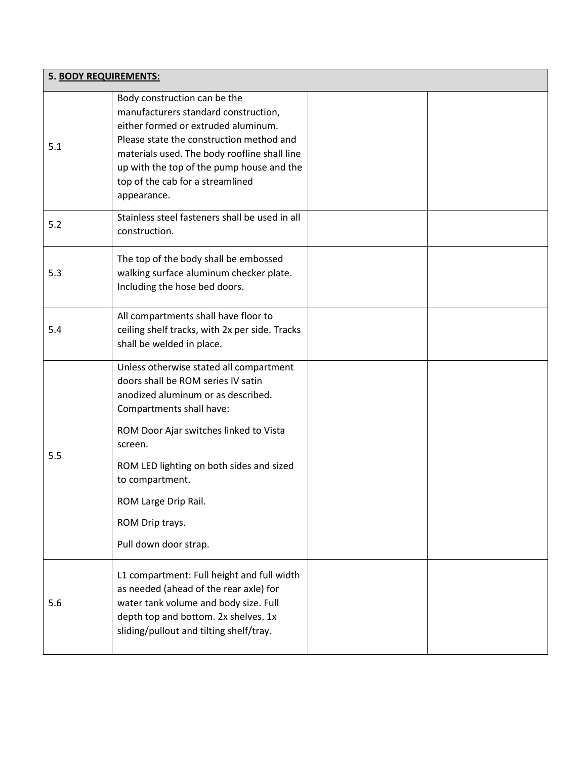|     | 5. BODY REQUIREMENTS:                                                                                                                                                                                                                                                                                                                   |  |  |
|-----|-----------------------------------------------------------------------------------------------------------------------------------------------------------------------------------------------------------------------------------------------------------------------------------------------------------------------------------------|--|--|
| 5.1 | Body construction can be the<br>manufacturers standard construction,<br>either formed or extruded aluminum.<br>Please state the construction method and<br>materials used. The body roofline shall line<br>up with the top of the pump house and the<br>top of the cab for a streamlined<br>appearance.                                 |  |  |
| 5.2 | Stainless steel fasteners shall be used in all<br>construction.                                                                                                                                                                                                                                                                         |  |  |
| 5.3 | The top of the body shall be embossed<br>walking surface aluminum checker plate.<br>Including the hose bed doors.                                                                                                                                                                                                                       |  |  |
| 5.4 | All compartments shall have floor to<br>ceiling shelf tracks, with 2x per side. Tracks<br>shall be welded in place.                                                                                                                                                                                                                     |  |  |
| 5.5 | Unless otherwise stated all compartment<br>doors shall be ROM series IV satin<br>anodized aluminum or as described.<br>Compartments shall have:<br>ROM Door Ajar switches linked to Vista<br>screen.<br>ROM LED lighting on both sides and sized<br>to compartment.<br>ROM Large Drip Rail.<br>ROM Drip trays.<br>Pull down door strap. |  |  |
| 5.6 | L1 compartment: Full height and full width<br>as needed (ahead of the rear axle) for<br>water tank volume and body size. Full<br>depth top and bottom. 2x shelves. 1x<br>sliding/pullout and tilting shelf/tray.                                                                                                                        |  |  |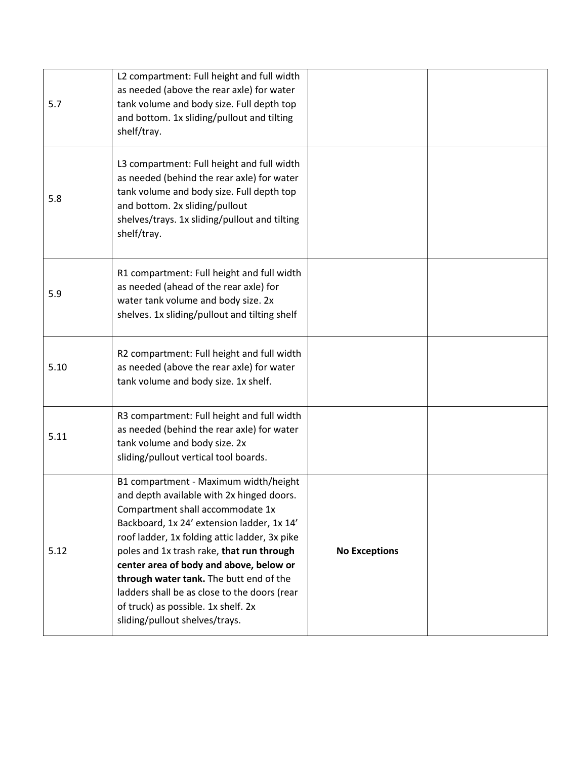| 5.7  | L2 compartment: Full height and full width<br>as needed (above the rear axle) for water<br>tank volume and body size. Full depth top<br>and bottom. 1x sliding/pullout and tilting<br>shelf/tray.                                                                                                                                                                                                                                                                                |                      |  |
|------|----------------------------------------------------------------------------------------------------------------------------------------------------------------------------------------------------------------------------------------------------------------------------------------------------------------------------------------------------------------------------------------------------------------------------------------------------------------------------------|----------------------|--|
| 5.8  | L3 compartment: Full height and full width<br>as needed (behind the rear axle) for water<br>tank volume and body size. Full depth top<br>and bottom. 2x sliding/pullout<br>shelves/trays. 1x sliding/pullout and tilting<br>shelf/tray.                                                                                                                                                                                                                                          |                      |  |
| 5.9  | R1 compartment: Full height and full width<br>as needed (ahead of the rear axle) for<br>water tank volume and body size. 2x<br>shelves. 1x sliding/pullout and tilting shelf                                                                                                                                                                                                                                                                                                     |                      |  |
| 5.10 | R2 compartment: Full height and full width<br>as needed (above the rear axle) for water<br>tank volume and body size. 1x shelf.                                                                                                                                                                                                                                                                                                                                                  |                      |  |
| 5.11 | R3 compartment: Full height and full width<br>as needed (behind the rear axle) for water<br>tank volume and body size. 2x<br>sliding/pullout vertical tool boards.                                                                                                                                                                                                                                                                                                               |                      |  |
| 5.12 | B1 compartment - Maximum width/height<br>and depth available with 2x hinged doors<br>Compartment shall accommodate 1x<br>Backboard, 1x 24' extension ladder, 1x 14'<br>roof ladder, 1x folding attic ladder, 3x pike<br>poles and 1x trash rake, that run through<br>center area of body and above, below or<br>through water tank. The butt end of the<br>ladders shall be as close to the doors (rear<br>of truck) as possible. 1x shelf. 2x<br>sliding/pullout shelves/trays. | <b>No Exceptions</b> |  |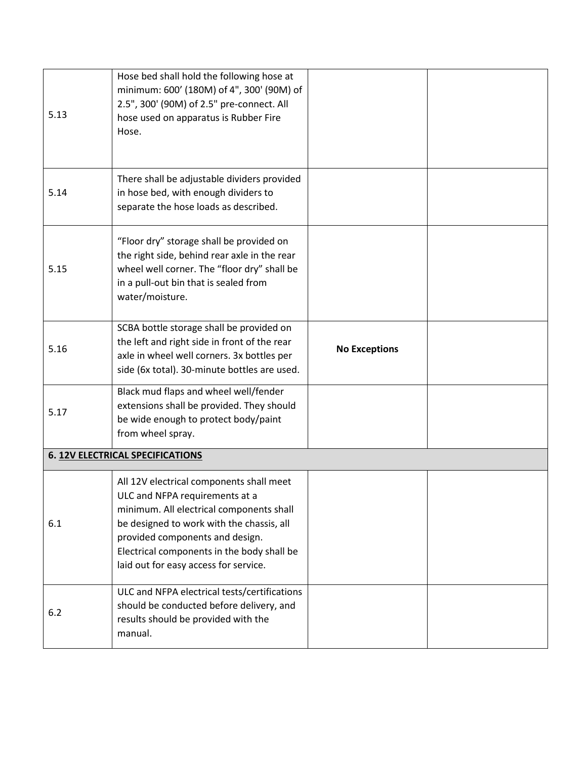| 5.13 | Hose bed shall hold the following hose at<br>minimum: 600' (180M) of 4", 300' (90M) of<br>2.5", 300' (90M) of 2.5" pre-connect. All<br>hose used on apparatus is Rubber Fire<br>Hose.                                                                                                         |                      |  |
|------|-----------------------------------------------------------------------------------------------------------------------------------------------------------------------------------------------------------------------------------------------------------------------------------------------|----------------------|--|
| 5.14 | There shall be adjustable dividers provided<br>in hose bed, with enough dividers to<br>separate the hose loads as described.                                                                                                                                                                  |                      |  |
| 5.15 | "Floor dry" storage shall be provided on<br>the right side, behind rear axle in the rear<br>wheel well corner. The "floor dry" shall be<br>in a pull-out bin that is sealed from<br>water/moisture.                                                                                           |                      |  |
| 5.16 | SCBA bottle storage shall be provided on<br>the left and right side in front of the rear<br>axle in wheel well corners. 3x bottles per<br>side (6x total). 30-minute bottles are used.                                                                                                        | <b>No Exceptions</b> |  |
| 5.17 | Black mud flaps and wheel well/fender<br>extensions shall be provided. They should<br>be wide enough to protect body/paint<br>from wheel spray.                                                                                                                                               |                      |  |
|      | <b>6. 12V ELECTRICAL SPECIFICATIONS</b>                                                                                                                                                                                                                                                       |                      |  |
| 6.1  | All 12V electrical components shall meet<br>ULC and NFPA requirements at a<br>minimum. All electrical components shall<br>be designed to work with the chassis, all<br>provided components and design.<br>Electrical components in the body shall be<br>laid out for easy access for service. |                      |  |
| 6.2  | ULC and NFPA electrical tests/certifications<br>should be conducted before delivery, and<br>results should be provided with the<br>manual.                                                                                                                                                    |                      |  |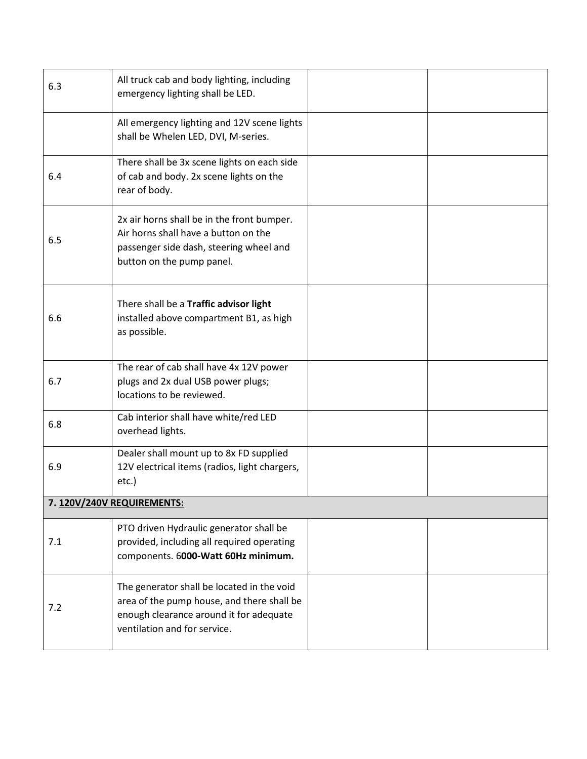| 6.3 | All truck cab and body lighting, including<br>emergency lighting shall be LED.                                                                                      |  |
|-----|---------------------------------------------------------------------------------------------------------------------------------------------------------------------|--|
|     | All emergency lighting and 12V scene lights<br>shall be Whelen LED, DVI, M-series.                                                                                  |  |
| 6.4 | There shall be 3x scene lights on each side<br>of cab and body. 2x scene lights on the<br>rear of body.                                                             |  |
| 6.5 | 2x air horns shall be in the front bumper.<br>Air horns shall have a button on the<br>passenger side dash, steering wheel and<br>button on the pump panel.          |  |
| 6.6 | There shall be a Traffic advisor light<br>installed above compartment B1, as high<br>as possible.                                                                   |  |
| 6.7 | The rear of cab shall have 4x 12V power<br>plugs and 2x dual USB power plugs;<br>locations to be reviewed.                                                          |  |
| 6.8 | Cab interior shall have white/red LED<br>overhead lights.                                                                                                           |  |
| 6.9 | Dealer shall mount up to 8x FD supplied<br>12V electrical items (radios, light chargers,<br>etc.)                                                                   |  |
|     | 7. 120V/240V REQUIREMENTS:                                                                                                                                          |  |
| 7.1 | PTO driven Hydraulic generator shall be<br>provided, including all required operating<br>components. 6000-Watt 60Hz minimum.                                        |  |
| 7.2 | The generator shall be located in the void<br>area of the pump house, and there shall be<br>enough clearance around it for adequate<br>ventilation and for service. |  |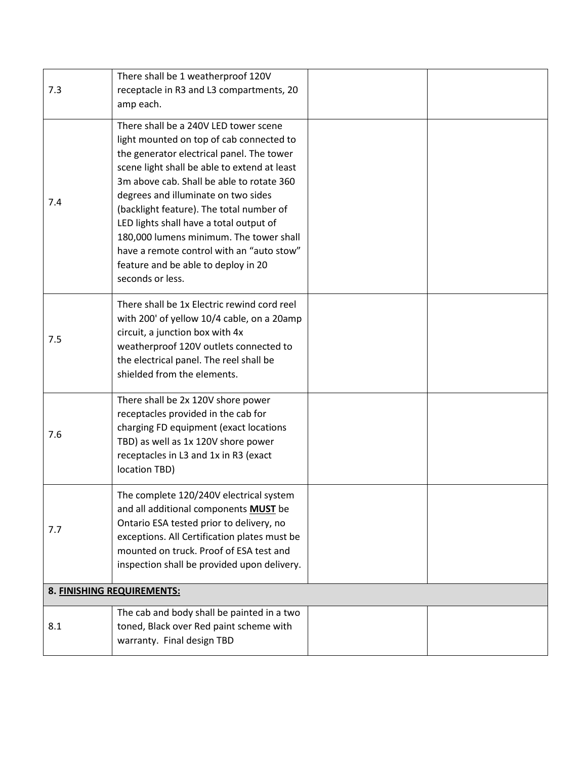| 7.3 | There shall be 1 weatherproof 120V<br>receptacle in R3 and L3 compartments, 20                                                                                                                                                                                                                                                                                                                                                                                                                               |  |
|-----|--------------------------------------------------------------------------------------------------------------------------------------------------------------------------------------------------------------------------------------------------------------------------------------------------------------------------------------------------------------------------------------------------------------------------------------------------------------------------------------------------------------|--|
|     | amp each.                                                                                                                                                                                                                                                                                                                                                                                                                                                                                                    |  |
| 7.4 | There shall be a 240V LED tower scene<br>light mounted on top of cab connected to<br>the generator electrical panel. The tower<br>scene light shall be able to extend at least<br>3m above cab. Shall be able to rotate 360<br>degrees and illuminate on two sides<br>(backlight feature). The total number of<br>LED lights shall have a total output of<br>180,000 lumens minimum. The tower shall<br>have a remote control with an "auto stow"<br>feature and be able to deploy in 20<br>seconds or less. |  |
| 7.5 | There shall be 1x Electric rewind cord reel<br>with 200' of yellow 10/4 cable, on a 20amp<br>circuit, a junction box with 4x<br>weatherproof 120V outlets connected to<br>the electrical panel. The reel shall be<br>shielded from the elements.                                                                                                                                                                                                                                                             |  |
| 7.6 | There shall be 2x 120V shore power<br>receptacles provided in the cab for<br>charging FD equipment (exact locations<br>TBD) as well as 1x 120V shore power<br>receptacles in L3 and 1x in R3 (exact<br>location TBD)                                                                                                                                                                                                                                                                                         |  |
| 7.7 | The complete 120/240V electrical system<br>and all additional components <b>MUST</b> be<br>Ontario ESA tested prior to delivery, no<br>exceptions. All Certification plates must be<br>mounted on truck. Proof of ESA test and<br>inspection shall be provided upon delivery.                                                                                                                                                                                                                                |  |
|     | 8. FINISHING REQUIREMENTS:                                                                                                                                                                                                                                                                                                                                                                                                                                                                                   |  |
| 8.1 | The cab and body shall be painted in a two<br>toned, Black over Red paint scheme with<br>warranty. Final design TBD                                                                                                                                                                                                                                                                                                                                                                                          |  |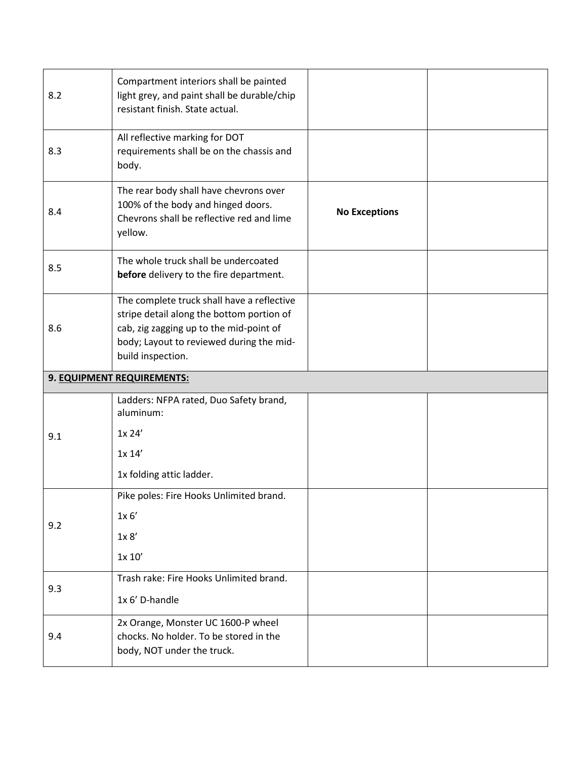| 8.2 | Compartment interiors shall be painted<br>light grey, and paint shall be durable/chip<br>resistant finish. State actual.                                                                            |                      |  |
|-----|-----------------------------------------------------------------------------------------------------------------------------------------------------------------------------------------------------|----------------------|--|
| 8.3 | All reflective marking for DOT<br>requirements shall be on the chassis and<br>body.                                                                                                                 |                      |  |
| 8.4 | The rear body shall have chevrons over<br>100% of the body and hinged doors.<br>Chevrons shall be reflective red and lime<br>yellow.                                                                | <b>No Exceptions</b> |  |
| 8.5 | The whole truck shall be undercoated<br>before delivery to the fire department.                                                                                                                     |                      |  |
| 8.6 | The complete truck shall have a reflective<br>stripe detail along the bottom portion of<br>cab, zig zagging up to the mid-point of<br>body; Layout to reviewed during the mid-<br>build inspection. |                      |  |
|     |                                                                                                                                                                                                     |                      |  |
|     | 9. EQUIPMENT REQUIREMENTS:                                                                                                                                                                          |                      |  |
|     | Ladders: NFPA rated, Duo Safety brand,<br>aluminum:<br>1x 24'                                                                                                                                       |                      |  |
| 9.1 | 1x 14'                                                                                                                                                                                              |                      |  |
|     | 1x folding attic ladder.                                                                                                                                                                            |                      |  |
|     | Pike poles: Fire Hooks Unlimited brand.                                                                                                                                                             |                      |  |
|     | 1x 6'                                                                                                                                                                                               |                      |  |
| 9.2 | 1x 8'                                                                                                                                                                                               |                      |  |
|     | 1x 10'                                                                                                                                                                                              |                      |  |
|     | Trash rake: Fire Hooks Unlimited brand.                                                                                                                                                             |                      |  |
| 9.3 | 1x 6' D-handle                                                                                                                                                                                      |                      |  |